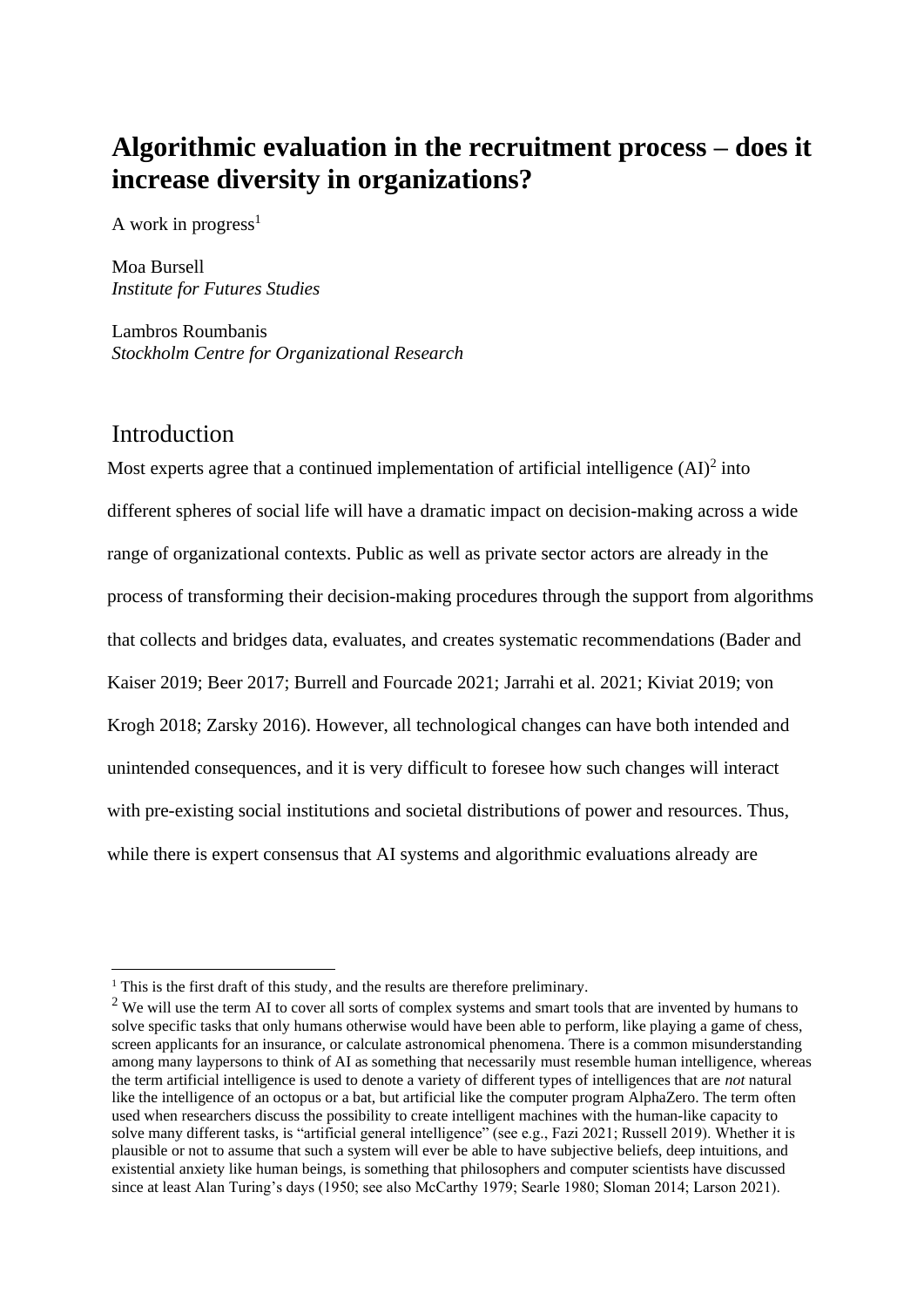# **Algorithmic evaluation in the recruitment process – does it increase diversity in organizations?**

A work in progress<sup>1</sup>

Moa Bursell *Institute for Futures Studies*

Lambros Roumbanis *Stockholm Centre for Organizational Research* 

### Introduction

Most experts agree that a continued implementation of artificial intelligence  $(AD)^2$  into different spheres of social life will have a dramatic impact on decision-making across a wide range of organizational contexts. Public as well as private sector actors are already in the process of transforming their decision-making procedures through the support from algorithms that collects and bridges data, evaluates, and creates systematic recommendations (Bader and Kaiser 2019; Beer 2017; Burrell and Fourcade 2021; Jarrahi et al. 2021; Kiviat 2019; von Krogh 2018; Zarsky 2016). However, all technological changes can have both intended and unintended consequences, and it is very difficult to foresee how such changes will interact with pre-existing social institutions and societal distributions of power and resources. Thus, while there is expert consensus that AI systems and algorithmic evaluations already are

<sup>&</sup>lt;sup>1</sup> This is the first draft of this study, and the results are therefore preliminary.

<sup>&</sup>lt;sup>2</sup> We will use the term AI to cover all sorts of complex systems and smart tools that are invented by humans to solve specific tasks that only humans otherwise would have been able to perform, like playing a game of chess, screen applicants for an insurance, or calculate astronomical phenomena. There is a common misunderstanding among many laypersons to think of AI as something that necessarily must resemble human intelligence, whereas the term artificial intelligence is used to denote a variety of different types of intelligences that are *not* natural like the intelligence of an octopus or a bat, but artificial like the computer program AlphaZero. The term often used when researchers discuss the possibility to create intelligent machines with the human-like capacity to solve many different tasks, is "artificial general intelligence" (see e.g., Fazi 2021; Russell 2019). Whether it is plausible or not to assume that such a system will ever be able to have subjective beliefs, deep intuitions, and existential anxiety like human beings, is something that philosophers and computer scientists have discussed since at least Alan Turing's days (1950; see also McCarthy 1979; Searle 1980; Sloman 2014; Larson 2021).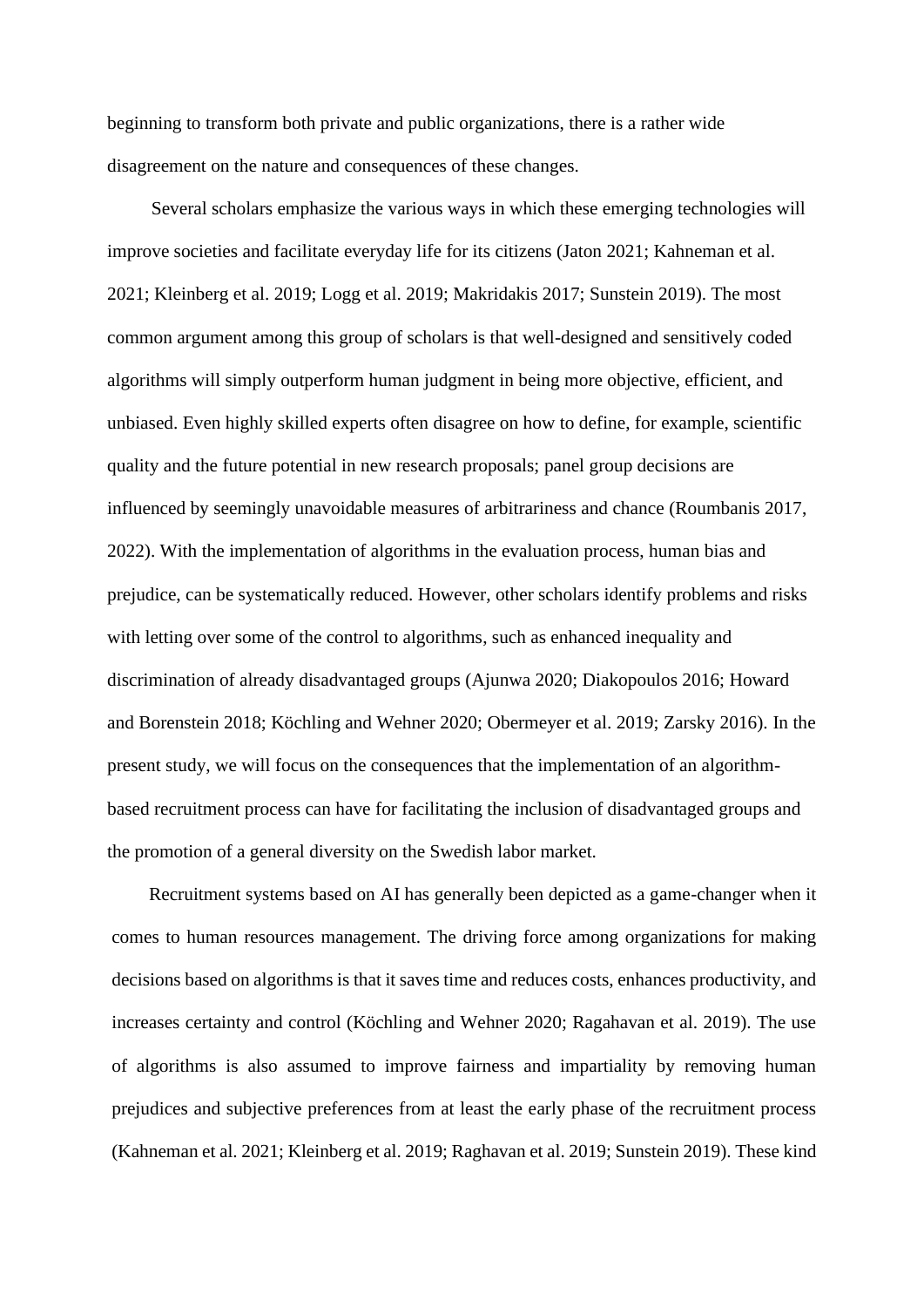beginning to transform both private and public organizations, there is a rather wide disagreement on the nature and consequences of these changes.

Several scholars emphasize the various ways in which these emerging technologies will improve societies and facilitate everyday life for its citizens (Jaton 2021; Kahneman et al. 2021; Kleinberg et al. 2019; Logg et al. 2019; Makridakis 2017; Sunstein 2019). The most common argument among this group of scholars is that well-designed and sensitively coded algorithms will simply outperform human judgment in being more objective, efficient, and unbiased. Even highly skilled experts often disagree on how to define, for example, scientific quality and the future potential in new research proposals; panel group decisions are influenced by seemingly unavoidable measures of arbitrariness and chance (Roumbanis 2017, 2022). With the implementation of algorithms in the evaluation process, human bias and prejudice, can be systematically reduced. However, other scholars identify problems and risks with letting over some of the control to algorithms, such as enhanced inequality and discrimination of already disadvantaged groups (Ajunwa 2020; Diakopoulos 2016; Howard and Borenstein 2018; Köchling and Wehner 2020; Obermeyer et al. 2019; Zarsky 2016). In the present study, we will focus on the consequences that the implementation of an algorithmbased recruitment process can have for facilitating the inclusion of disadvantaged groups and the promotion of a general diversity on the Swedish labor market.

 Recruitment systems based on AI has generally been depicted as a game-changer when it comes to human resources management. The driving force among organizations for making decisions based on algorithms is that it saves time and reduces costs, enhances productivity, and increases certainty and control (Köchling and Wehner 2020; Ragahavan et al. 2019). The use of algorithms is also assumed to improve fairness and impartiality by removing human prejudices and subjective preferences from at least the early phase of the recruitment process (Kahneman et al. 2021; Kleinberg et al. 2019; Raghavan et al. 2019; Sunstein 2019). These kind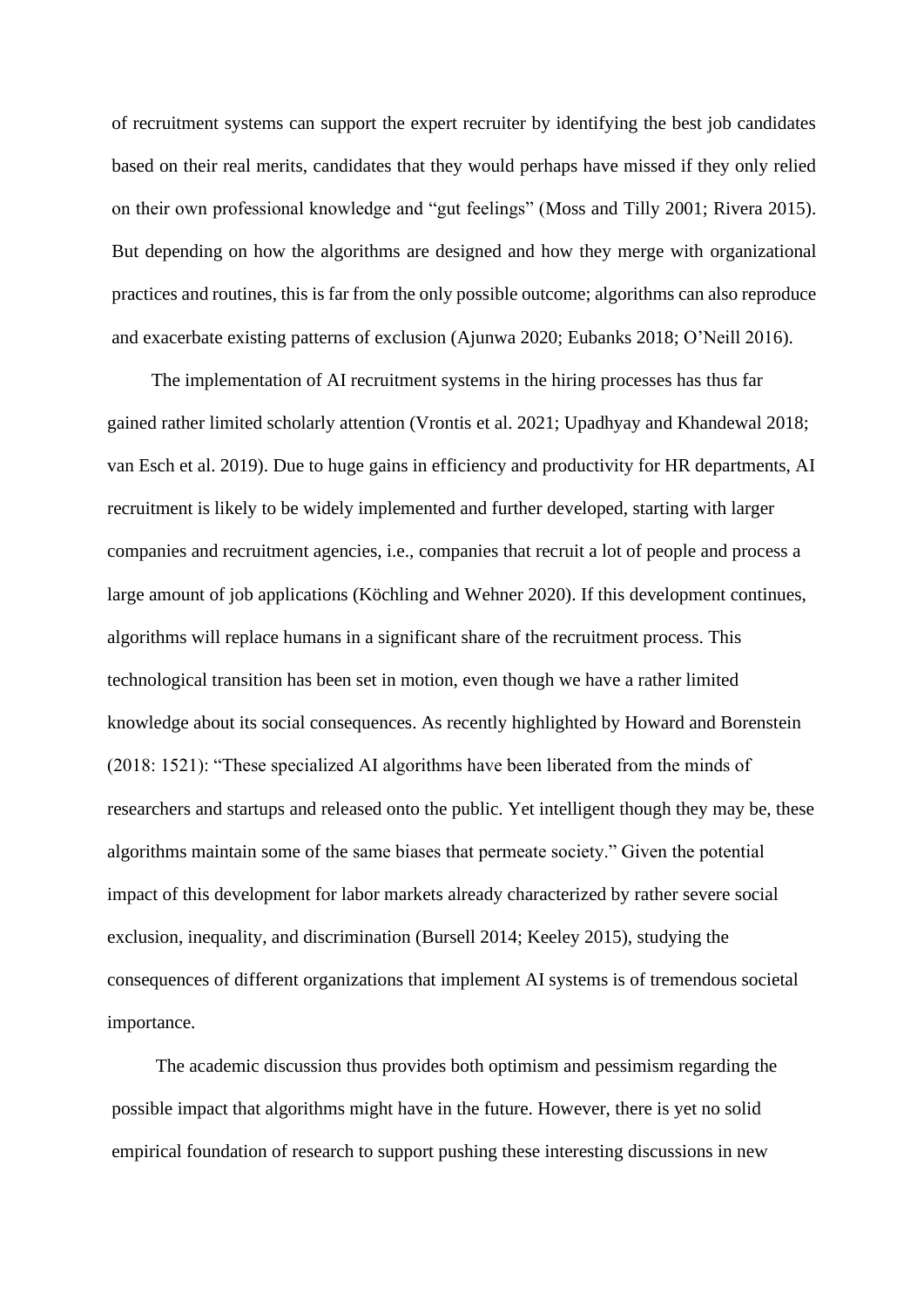of recruitment systems can support the expert recruiter by identifying the best job candidates based on their real merits, candidates that they would perhaps have missed if they only relied on their own professional knowledge and "gut feelings" (Moss and Tilly 2001; Rivera 2015). But depending on how the algorithms are designed and how they merge with organizational practices and routines, this is far from the only possible outcome; algorithms can also reproduce and exacerbate existing patterns of exclusion (Ajunwa 2020; Eubanks 2018; O'Neill 2016).

The implementation of AI recruitment systems in the hiring processes has thus far gained rather limited scholarly attention (Vrontis et al. 2021; Upadhyay and Khandewal 2018; van Esch et al. 2019). Due to huge gains in efficiency and productivity for HR departments, AI recruitment is likely to be widely implemented and further developed, starting with larger companies and recruitment agencies, i.e., companies that recruit a lot of people and process a large amount of job applications (Köchling and Wehner 2020). If this development continues, algorithms will replace humans in a significant share of the recruitment process. This technological transition has been set in motion, even though we have a rather limited knowledge about its social consequences. As recently highlighted by Howard and Borenstein (2018: 1521): "These specialized AI algorithms have been liberated from the minds of researchers and startups and released onto the public. Yet intelligent though they may be, these algorithms maintain some of the same biases that permeate society." Given the potential impact of this development for labor markets already characterized by rather severe social exclusion, inequality, and discrimination (Bursell 2014; Keeley 2015), studying the consequences of different organizations that implement AI systems is of tremendous societal importance.

The academic discussion thus provides both optimism and pessimism regarding the possible impact that algorithms might have in the future. However, there is yet no solid empirical foundation of research to support pushing these interesting discussions in new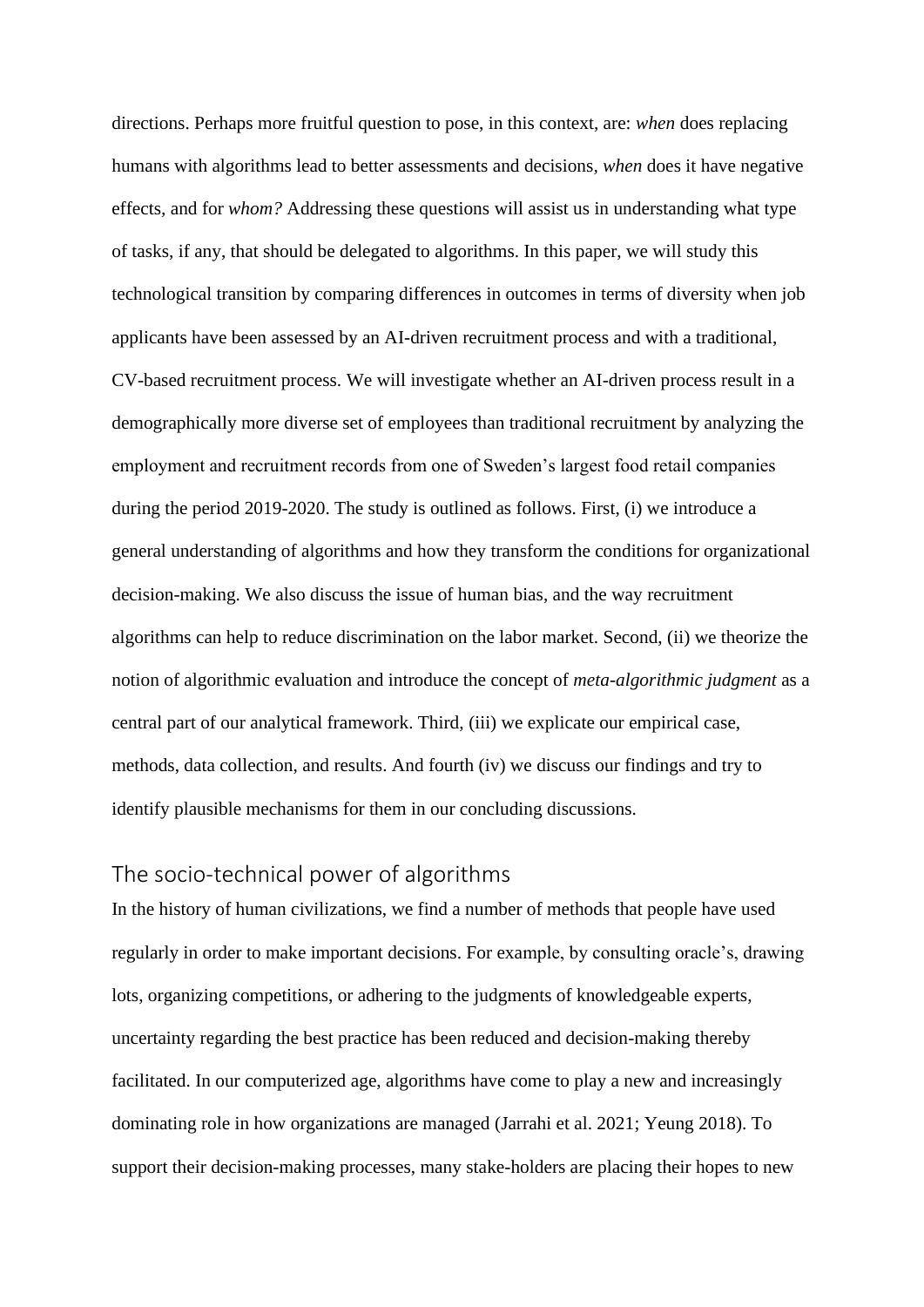directions. Perhaps more fruitful question to pose, in this context, are: *when* does replacing humans with algorithms lead to better assessments and decisions*, when* does it have negative effects*,* and for *whom?* Addressing these questions will assist us in understanding what type of tasks, if any, that should be delegated to algorithms. In this paper, we will study this technological transition by comparing differences in outcomes in terms of diversity when job applicants have been assessed by an AI-driven recruitment process and with a traditional, CV-based recruitment process. We will investigate whether an AI-driven process result in a demographically more diverse set of employees than traditional recruitment by analyzing the employment and recruitment records from one of Sweden's largest food retail companies during the period 2019-2020. The study is outlined as follows. First, (i) we introduce a general understanding of algorithms and how they transform the conditions for organizational decision-making. We also discuss the issue of human bias, and the way recruitment algorithms can help to reduce discrimination on the labor market. Second, (ii) we theorize the notion of algorithmic evaluation and introduce the concept of *meta-algorithmic judgment* as a central part of our analytical framework. Third, (iii) we explicate our empirical case, methods, data collection, and results. And fourth (iv) we discuss our findings and try to identify plausible mechanisms for them in our concluding discussions.

### The socio-technical power of algorithms

In the history of human civilizations, we find a number of methods that people have used regularly in order to make important decisions. For example, by consulting oracle's, drawing lots, organizing competitions, or adhering to the judgments of knowledgeable experts, uncertainty regarding the best practice has been reduced and decision-making thereby facilitated. In our computerized age, algorithms have come to play a new and increasingly dominating role in how organizations are managed (Jarrahi et al. 2021; Yeung 2018). To support their decision-making processes, many stake-holders are placing their hopes to new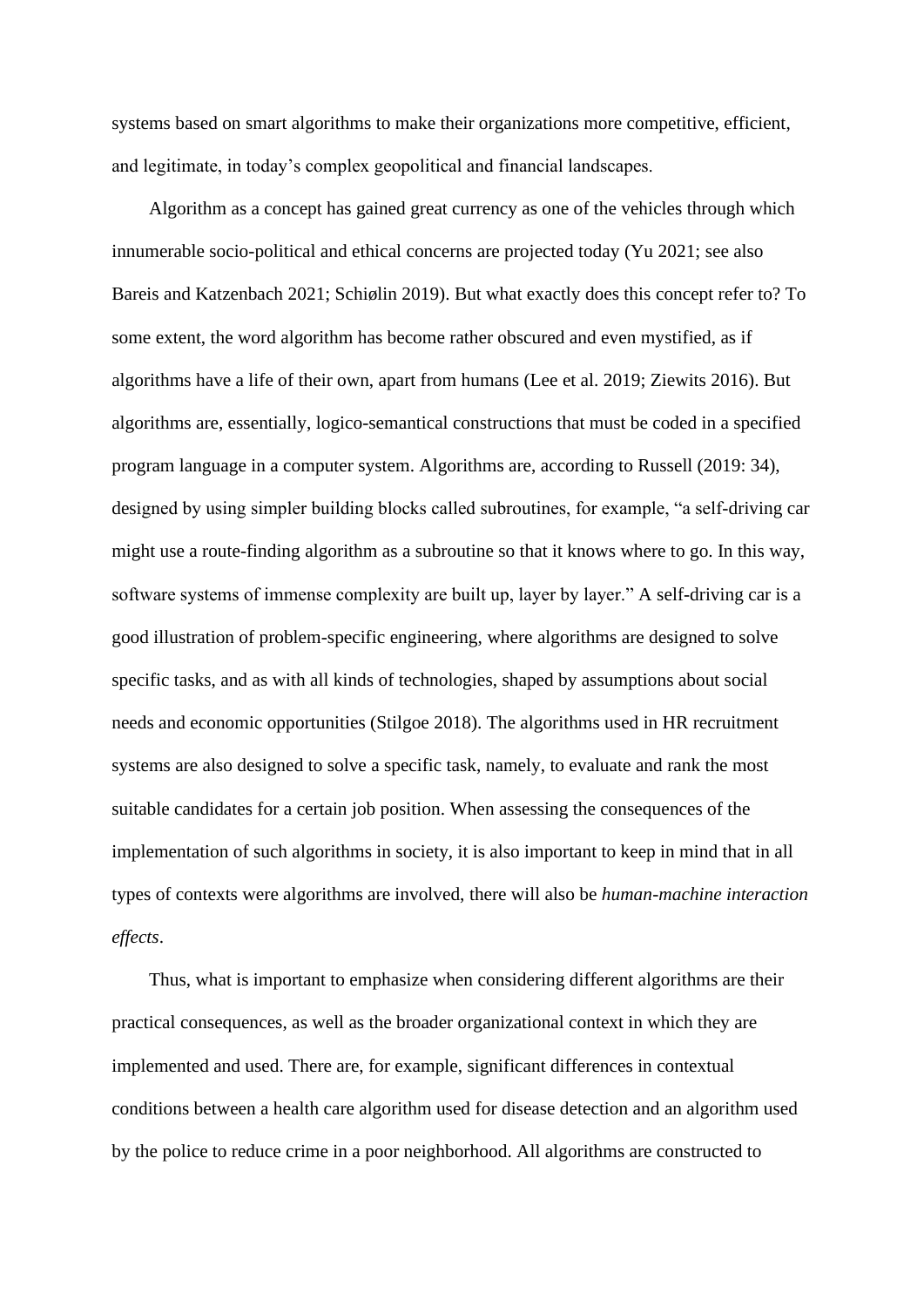systems based on smart algorithms to make their organizations more competitive, efficient, and legitimate, in today's complex geopolitical and financial landscapes.

 Algorithm as a concept has gained great currency as one of the vehicles through which innumerable socio-political and ethical concerns are projected today (Yu 2021; see also Bareis and Katzenbach 2021; Schiølin 2019). But what exactly does this concept refer to? To some extent, the word algorithm has become rather obscured and even mystified, as if algorithms have a life of their own, apart from humans (Lee et al. 2019; Ziewits 2016). But algorithms are, essentially, logico-semantical constructions that must be coded in a specified program language in a computer system. Algorithms are, according to Russell (2019: 34), designed by using simpler building blocks called subroutines, for example, "a self-driving car might use a route-finding algorithm as a subroutine so that it knows where to go. In this way, software systems of immense complexity are built up, layer by layer." A self-driving car is a good illustration of problem-specific engineering, where algorithms are designed to solve specific tasks, and as with all kinds of technologies, shaped by assumptions about social needs and economic opportunities (Stilgoe 2018). The algorithms used in HR recruitment systems are also designed to solve a specific task, namely, to evaluate and rank the most suitable candidates for a certain job position. When assessing the consequences of the implementation of such algorithms in society, it is also important to keep in mind that in all types of contexts were algorithms are involved, there will also be *human-machine interaction effects*.

Thus, what is important to emphasize when considering different algorithms are their practical consequences, as well as the broader organizational context in which they are implemented and used. There are, for example, significant differences in contextual conditions between a health care algorithm used for disease detection and an algorithm used by the police to reduce crime in a poor neighborhood. All algorithms are constructed to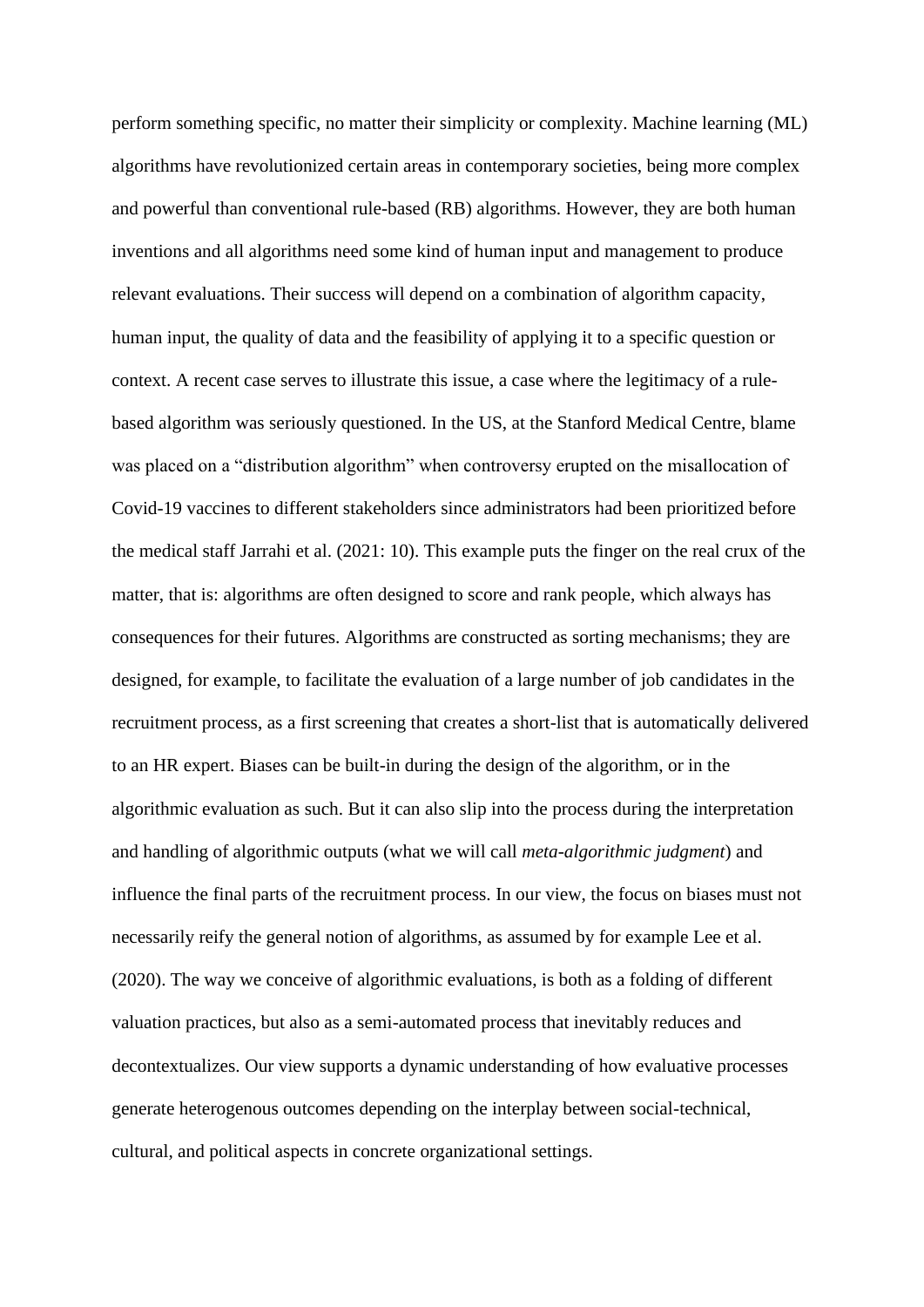perform something specific, no matter their simplicity or complexity. Machine learning (ML) algorithms have revolutionized certain areas in contemporary societies, being more complex and powerful than conventional rule-based (RB) algorithms. However, they are both human inventions and all algorithms need some kind of human input and management to produce relevant evaluations. Their success will depend on a combination of algorithm capacity, human input, the quality of data and the feasibility of applying it to a specific question or context. A recent case serves to illustrate this issue, a case where the legitimacy of a rulebased algorithm was seriously questioned. In the US, at the Stanford Medical Centre, blame was placed on a "distribution algorithm" when controversy erupted on the misallocation of Covid-19 vaccines to different stakeholders since administrators had been prioritized before the medical staff Jarrahi et al. (2021: 10). This example puts the finger on the real crux of the matter, that is: algorithms are often designed to score and rank people, which always has consequences for their futures. Algorithms are constructed as sorting mechanisms; they are designed, for example, to facilitate the evaluation of a large number of job candidates in the recruitment process, as a first screening that creates a short-list that is automatically delivered to an HR expert. Biases can be built-in during the design of the algorithm, or in the algorithmic evaluation as such. But it can also slip into the process during the interpretation and handling of algorithmic outputs (what we will call *meta-algorithmic judgment*) and influence the final parts of the recruitment process. In our view, the focus on biases must not necessarily reify the general notion of algorithms, as assumed by for example Lee et al. (2020). The way we conceive of algorithmic evaluations, is both as a folding of different valuation practices, but also as a semi-automated process that inevitably reduces and decontextualizes. Our view supports a dynamic understanding of how evaluative processes generate heterogenous outcomes depending on the interplay between social-technical, cultural, and political aspects in concrete organizational settings.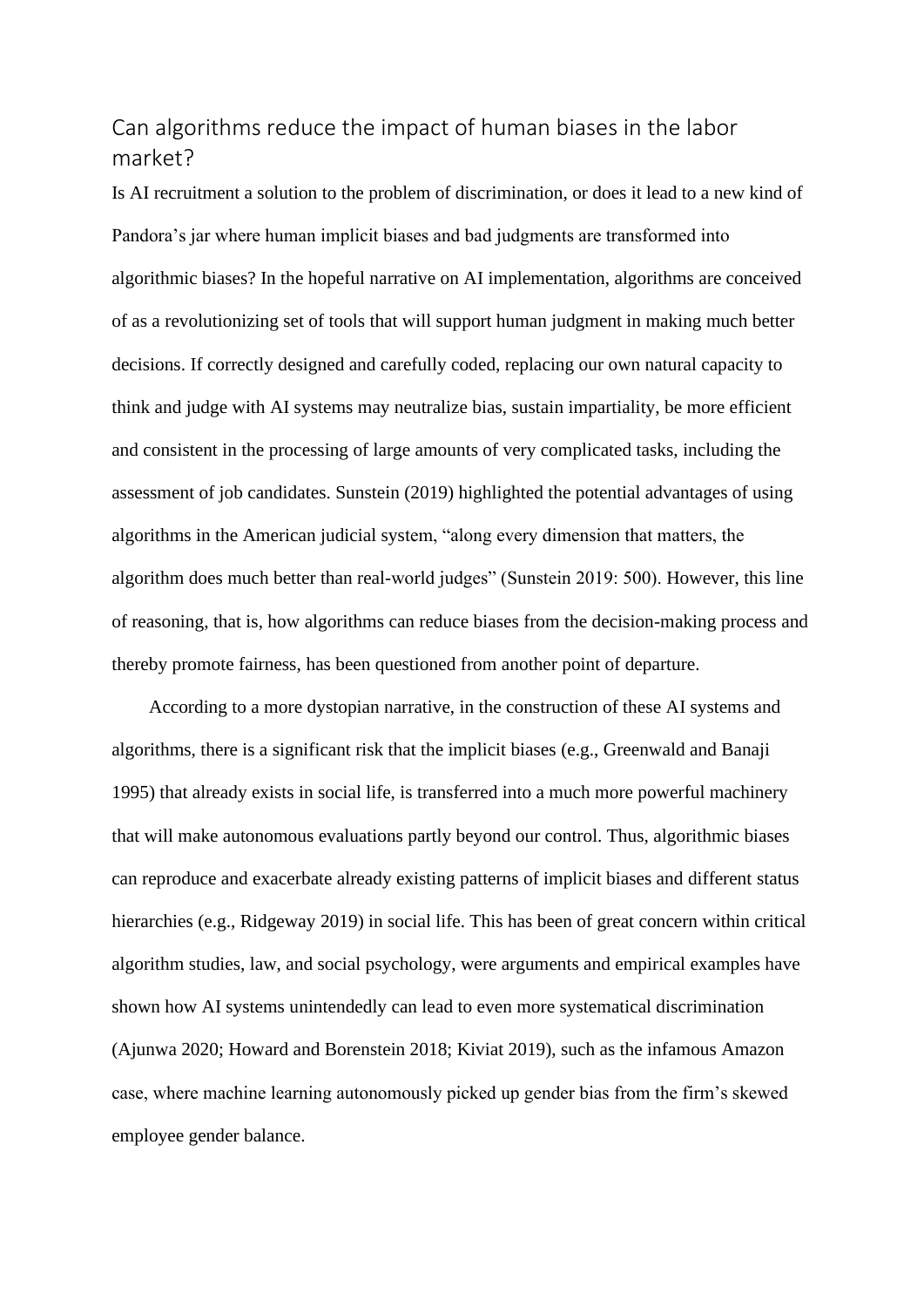# Can algorithms reduce the impact of human biases in the labor market?

Is AI recruitment a solution to the problem of discrimination, or does it lead to a new kind of Pandora's jar where human implicit biases and bad judgments are transformed into algorithmic biases? In the hopeful narrative on AI implementation, algorithms are conceived of as a revolutionizing set of tools that will support human judgment in making much better decisions. If correctly designed and carefully coded, replacing our own natural capacity to think and judge with AI systems may neutralize bias, sustain impartiality, be more efficient and consistent in the processing of large amounts of very complicated tasks, including the assessment of job candidates. Sunstein (2019) highlighted the potential advantages of using algorithms in the American judicial system, "along every dimension that matters, the algorithm does much better than real-world judges" (Sunstein 2019: 500). However, this line of reasoning, that is, how algorithms can reduce biases from the decision-making process and thereby promote fairness, has been questioned from another point of departure.

 According to a more dystopian narrative, in the construction of these AI systems and algorithms, there is a significant risk that the implicit biases (e.g., Greenwald and Banaji 1995) that already exists in social life, is transferred into a much more powerful machinery that will make autonomous evaluations partly beyond our control. Thus, algorithmic biases can reproduce and exacerbate already existing patterns of implicit biases and different status hierarchies (e.g., Ridgeway 2019) in social life. This has been of great concern within critical algorithm studies, law, and social psychology, were arguments and empirical examples have shown how AI systems unintendedly can lead to even more systematical discrimination (Ajunwa 2020; Howard and Borenstein 2018; Kiviat 2019), such as the infamous Amazon case, where machine learning autonomously picked up gender bias from the firm's skewed employee gender balance.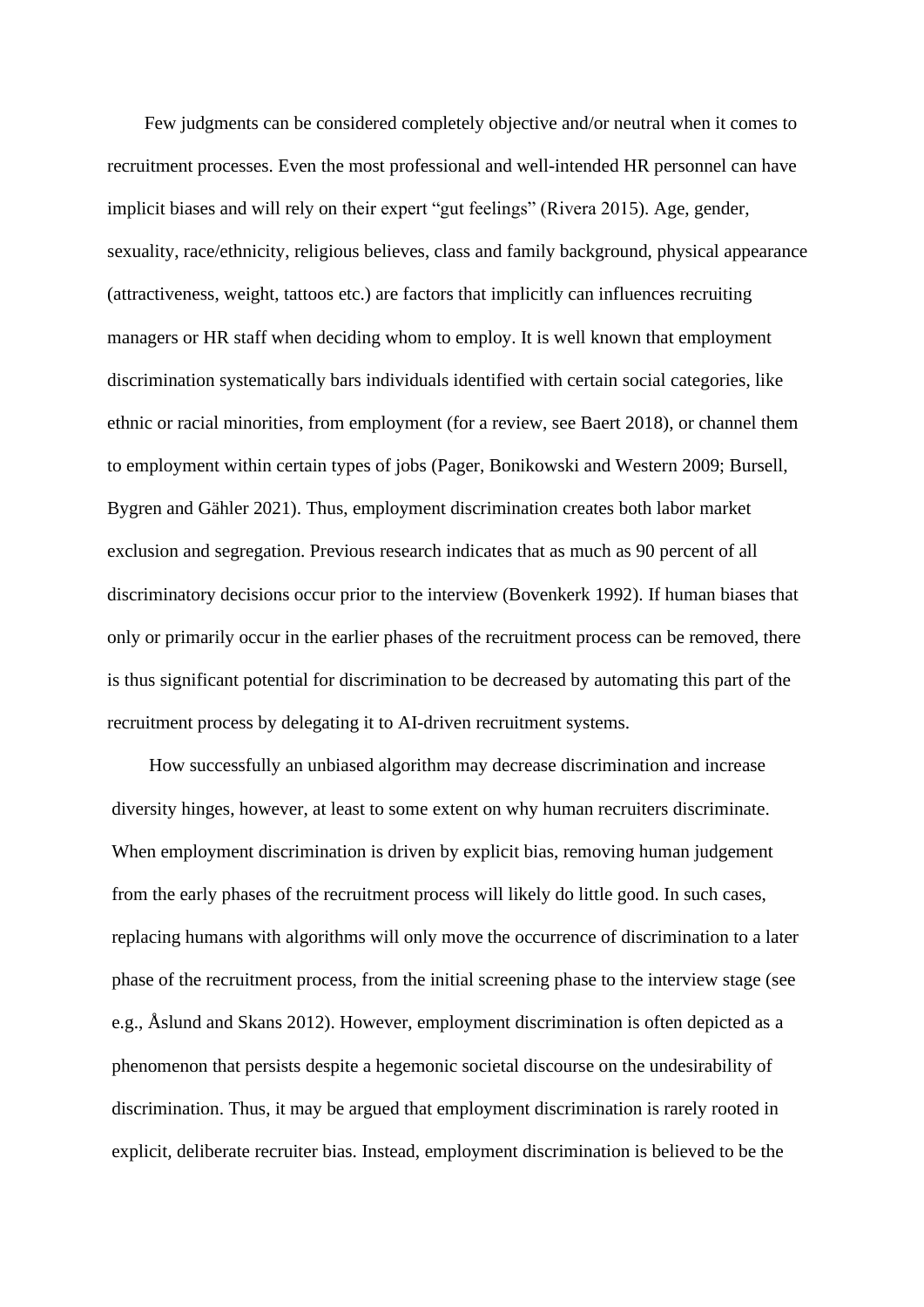Few judgments can be considered completely objective and/or neutral when it comes to recruitment processes. Even the most professional and well-intended HR personnel can have implicit biases and will rely on their expert "gut feelings" (Rivera 2015). Age, gender, sexuality, race/ethnicity, religious believes, class and family background, physical appearance (attractiveness, weight, tattoos etc.) are factors that implicitly can influences recruiting managers or HR staff when deciding whom to employ. It is well known that employment discrimination systematically bars individuals identified with certain social categories, like ethnic or racial minorities, from employment (for a review, see Baert 2018), or channel them to employment within certain types of jobs (Pager, Bonikowski and Western 2009; Bursell, Bygren and Gähler 2021). Thus, employment discrimination creates both labor market exclusion and segregation. Previous research indicates that as much as 90 percent of all discriminatory decisions occur prior to the interview (Bovenkerk 1992). If human biases that only or primarily occur in the earlier phases of the recruitment process can be removed, there is thus significant potential for discrimination to be decreased by automating this part of the recruitment process by delegating it to AI-driven recruitment systems.

 How successfully an unbiased algorithm may decrease discrimination and increase diversity hinges, however, at least to some extent on why human recruiters discriminate. When employment discrimination is driven by explicit bias, removing human judgement from the early phases of the recruitment process will likely do little good. In such cases, replacing humans with algorithms will only move the occurrence of discrimination to a later phase of the recruitment process, from the initial screening phase to the interview stage (see e.g., Åslund and Skans 2012). However, employment discrimination is often depicted as a phenomenon that persists despite a hegemonic societal discourse on the undesirability of discrimination. Thus, it may be argued that employment discrimination is rarely rooted in explicit*,* deliberate recruiter bias. Instead, employment discrimination is believed to be the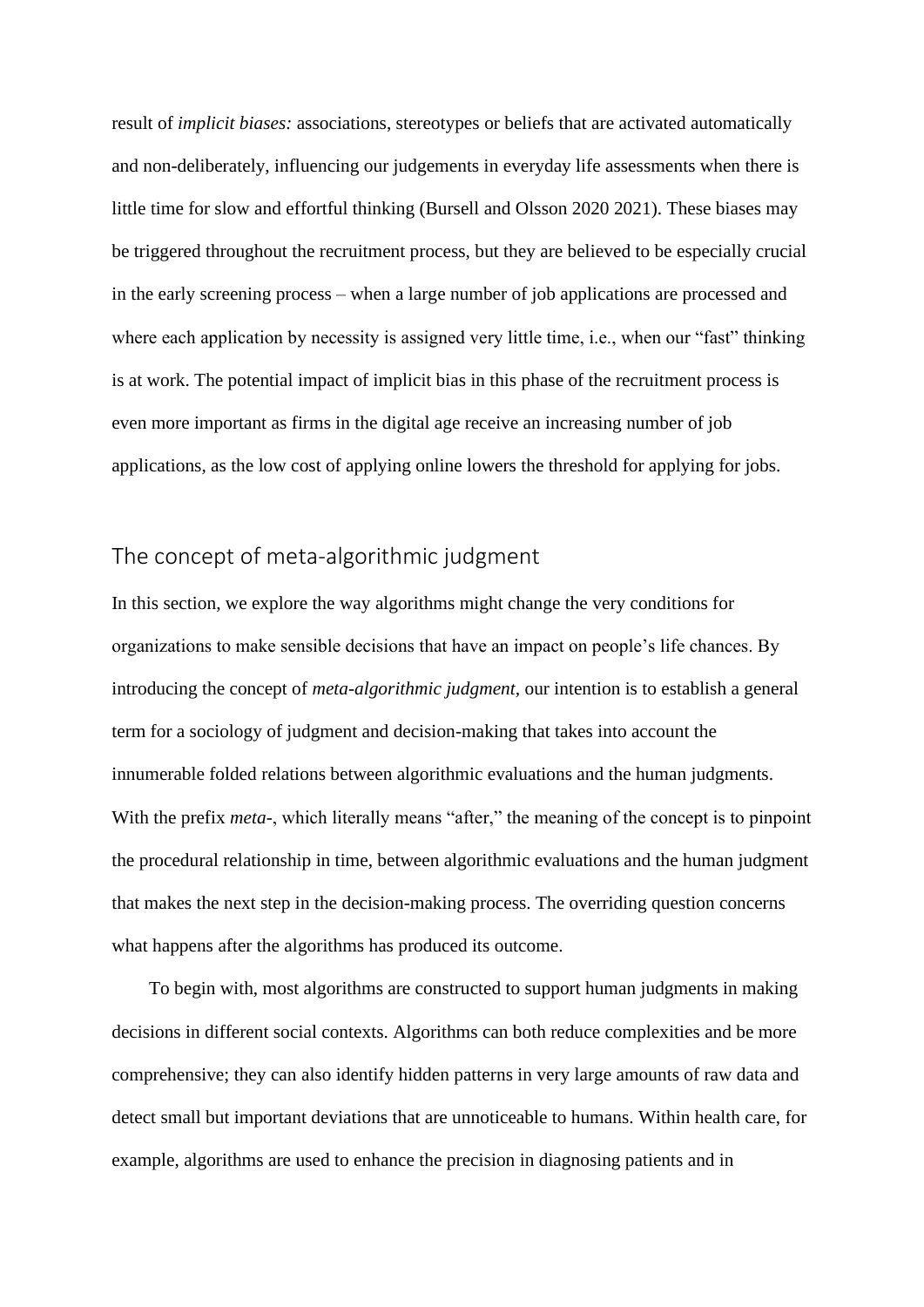result of *implicit biases:* associations, stereotypes or beliefs that are activated automatically and non-deliberately, influencing our judgements in everyday life assessments when there is little time for slow and effortful thinking (Bursell and Olsson 2020 2021). These biases may be triggered throughout the recruitment process, but they are believed to be especially crucial in the early screening process – when a large number of job applications are processed and where each application by necessity is assigned very little time, i.e., when our "fast" thinking is at work. The potential impact of implicit bias in this phase of the recruitment process is even more important as firms in the digital age receive an increasing number of job applications, as the low cost of applying online lowers the threshold for applying for jobs.

## The concept of meta-algorithmic judgment

In this section, we explore the way algorithms might change the very conditions for organizations to make sensible decisions that have an impact on people's life chances. By introducing the concept of *meta-algorithmic judgment,* our intention is to establish a general term for a sociology of judgment and decision-making that takes into account the innumerable folded relations between algorithmic evaluations and the human judgments. With the prefix *meta*-, which literally means "after," the meaning of the concept is to pinpoint the procedural relationship in time, between algorithmic evaluations and the human judgment that makes the next step in the decision-making process. The overriding question concerns what happens after the algorithms has produced its outcome.

 To begin with, most algorithms are constructed to support human judgments in making decisions in different social contexts. Algorithms can both reduce complexities and be more comprehensive; they can also identify hidden patterns in very large amounts of raw data and detect small but important deviations that are unnoticeable to humans. Within health care, for example, algorithms are used to enhance the precision in diagnosing patients and in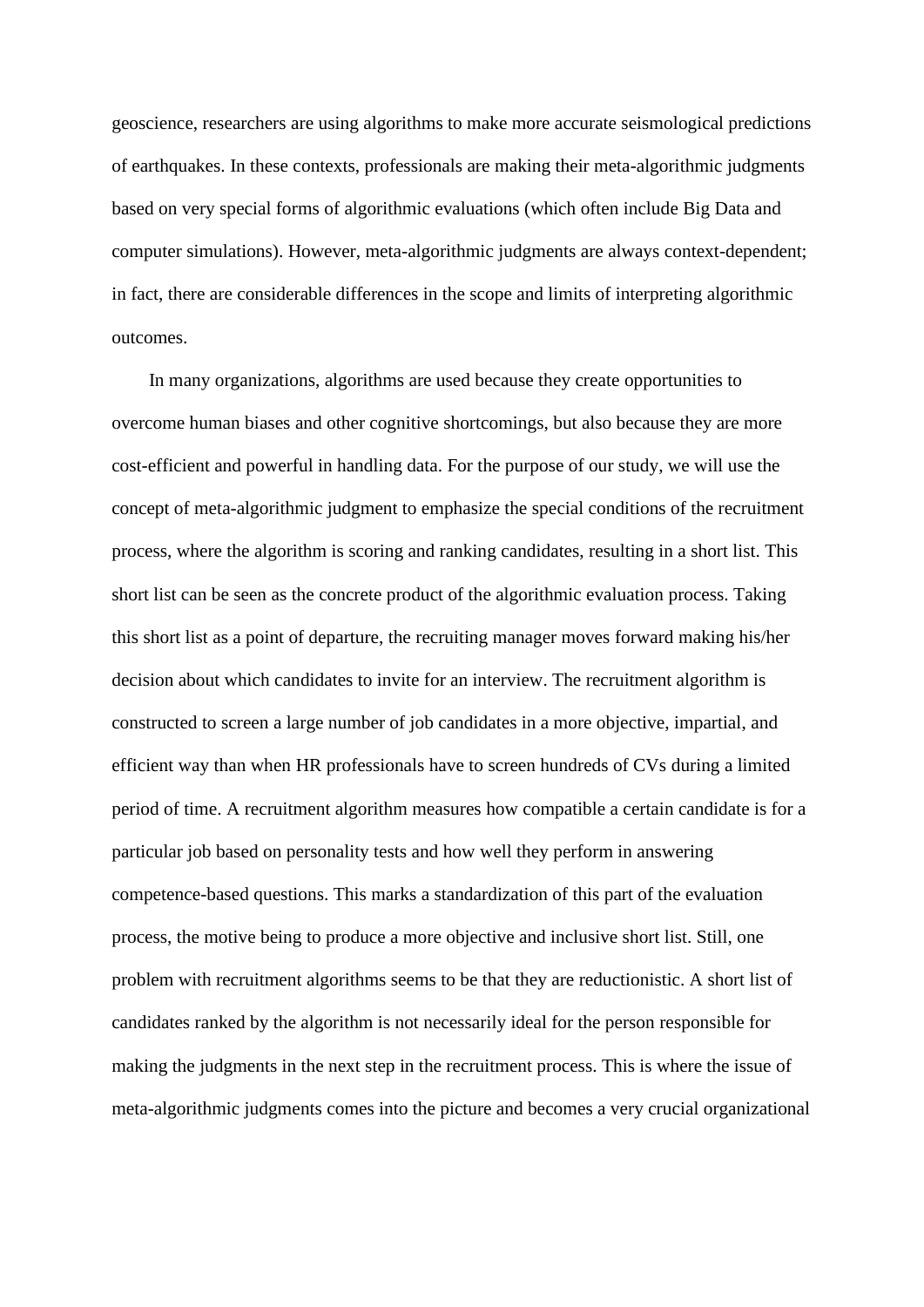geoscience, researchers are using algorithms to make more accurate seismological predictions of earthquakes. In these contexts, professionals are making their meta-algorithmic judgments based on very special forms of algorithmic evaluations (which often include Big Data and computer simulations). However, meta-algorithmic judgments are always context-dependent; in fact, there are considerable differences in the scope and limits of interpreting algorithmic outcomes.

 In many organizations, algorithms are used because they create opportunities to overcome human biases and other cognitive shortcomings, but also because they are more cost-efficient and powerful in handling data. For the purpose of our study, we will use the concept of meta-algorithmic judgment to emphasize the special conditions of the recruitment process, where the algorithm is scoring and ranking candidates, resulting in a short list. This short list can be seen as the concrete product of the algorithmic evaluation process. Taking this short list as a point of departure, the recruiting manager moves forward making his/her decision about which candidates to invite for an interview. The recruitment algorithm is constructed to screen a large number of job candidates in a more objective, impartial, and efficient way than when HR professionals have to screen hundreds of CVs during a limited period of time. A recruitment algorithm measures how compatible a certain candidate is for a particular job based on personality tests and how well they perform in answering competence-based questions. This marks a standardization of this part of the evaluation process, the motive being to produce a more objective and inclusive short list. Still, one problem with recruitment algorithms seems to be that they are reductionistic. A short list of candidates ranked by the algorithm is not necessarily ideal for the person responsible for making the judgments in the next step in the recruitment process. This is where the issue of meta-algorithmic judgments comes into the picture and becomes a very crucial organizational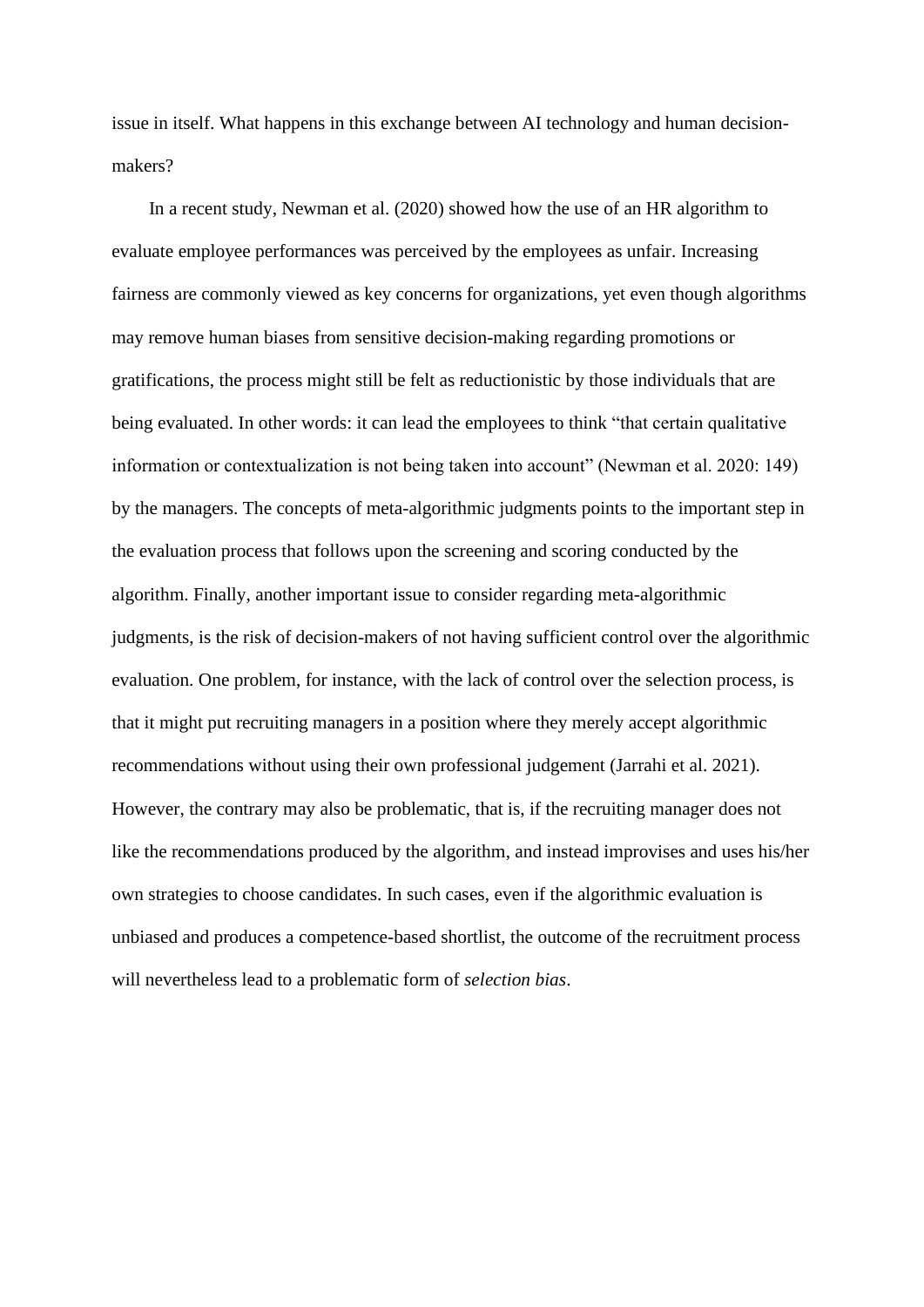issue in itself. What happens in this exchange between AI technology and human decisionmakers?

 In a recent study, Newman et al. (2020) showed how the use of an HR algorithm to evaluate employee performances was perceived by the employees as unfair. Increasing fairness are commonly viewed as key concerns for organizations, yet even though algorithms may remove human biases from sensitive decision-making regarding promotions or gratifications, the process might still be felt as reductionistic by those individuals that are being evaluated. In other words: it can lead the employees to think "that certain qualitative information or contextualization is not being taken into account" (Newman et al. 2020: 149) by the managers. The concepts of meta-algorithmic judgments points to the important step in the evaluation process that follows upon the screening and scoring conducted by the algorithm. Finally, another important issue to consider regarding meta-algorithmic judgments, is the risk of decision-makers of not having sufficient control over the algorithmic evaluation. One problem, for instance, with the lack of control over the selection process, is that it might put recruiting managers in a position where they merely accept algorithmic recommendations without using their own professional judgement (Jarrahi et al. 2021). However, the contrary may also be problematic, that is, if the recruiting manager does not like the recommendations produced by the algorithm, and instead improvises and uses his/her own strategies to choose candidates. In such cases, even if the algorithmic evaluation is unbiased and produces a competence-based shortlist, the outcome of the recruitment process will nevertheless lead to a problematic form of *selection bias*.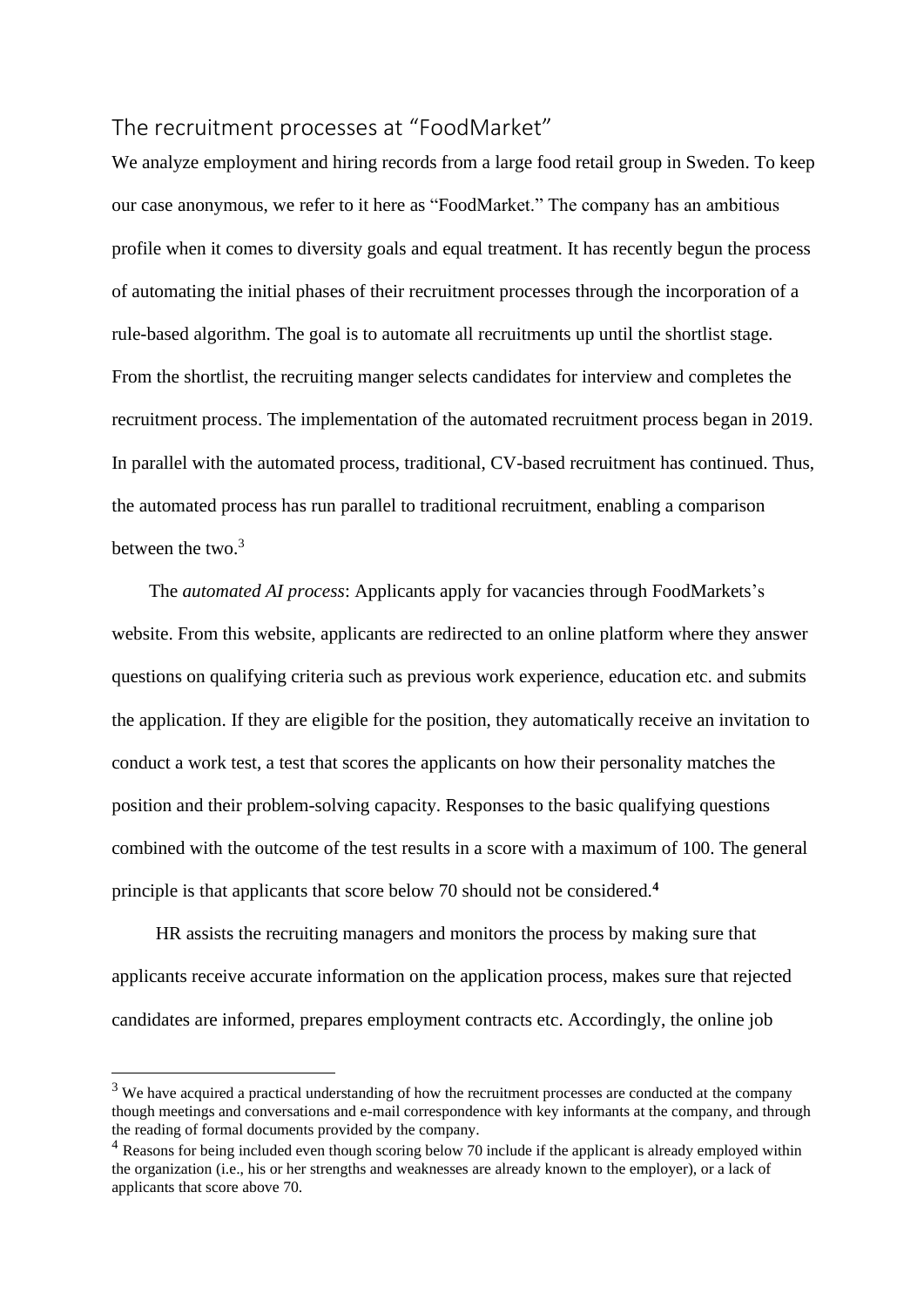## The recruitment processes at "FoodMarket"

We analyze employment and hiring records from a large food retail group in Sweden. To keep our case anonymous, we refer to it here as "FoodMarket." The company has an ambitious profile when it comes to diversity goals and equal treatment. It has recently begun the process of automating the initial phases of their recruitment processes through the incorporation of a rule-based algorithm. The goal is to automate all recruitments up until the shortlist stage. From the shortlist, the recruiting manger selects candidates for interview and completes the recruitment process. The implementation of the automated recruitment process began in 2019. In parallel with the automated process, traditional, CV-based recruitment has continued. Thus, the automated process has run parallel to traditional recruitment, enabling a comparison between the two.<sup>3</sup>

 The *automated AI process*: Applicants apply for vacancies through FoodMarkets's website. From this website, applicants are redirected to an online platform where they answer questions on qualifying criteria such as previous work experience, education etc. and submits the application. If they are eligible for the position, they automatically receive an invitation to conduct a work test, a test that scores the applicants on how their personality matches the position and their problem-solving capacity. Responses to the basic qualifying questions combined with the outcome of the test results in a score with a maximum of 100. The general principle is that applicants that score below 70 should not be considered.**<sup>4</sup>**

HR assists the recruiting managers and monitors the process by making sure that applicants receive accurate information on the application process, makes sure that rejected candidates are informed, prepares employment contracts etc. Accordingly, the online job

 $3$  We have acquired a practical understanding of how the recruitment processes are conducted at the company though meetings and conversations and e-mail correspondence with key informants at the company, and through the reading of formal documents provided by the company.

<sup>&</sup>lt;sup>4</sup> Reasons for being included even though scoring below 70 include if the applicant is already employed within the organization (i.e., his or her strengths and weaknesses are already known to the employer), or a lack of applicants that score above 70.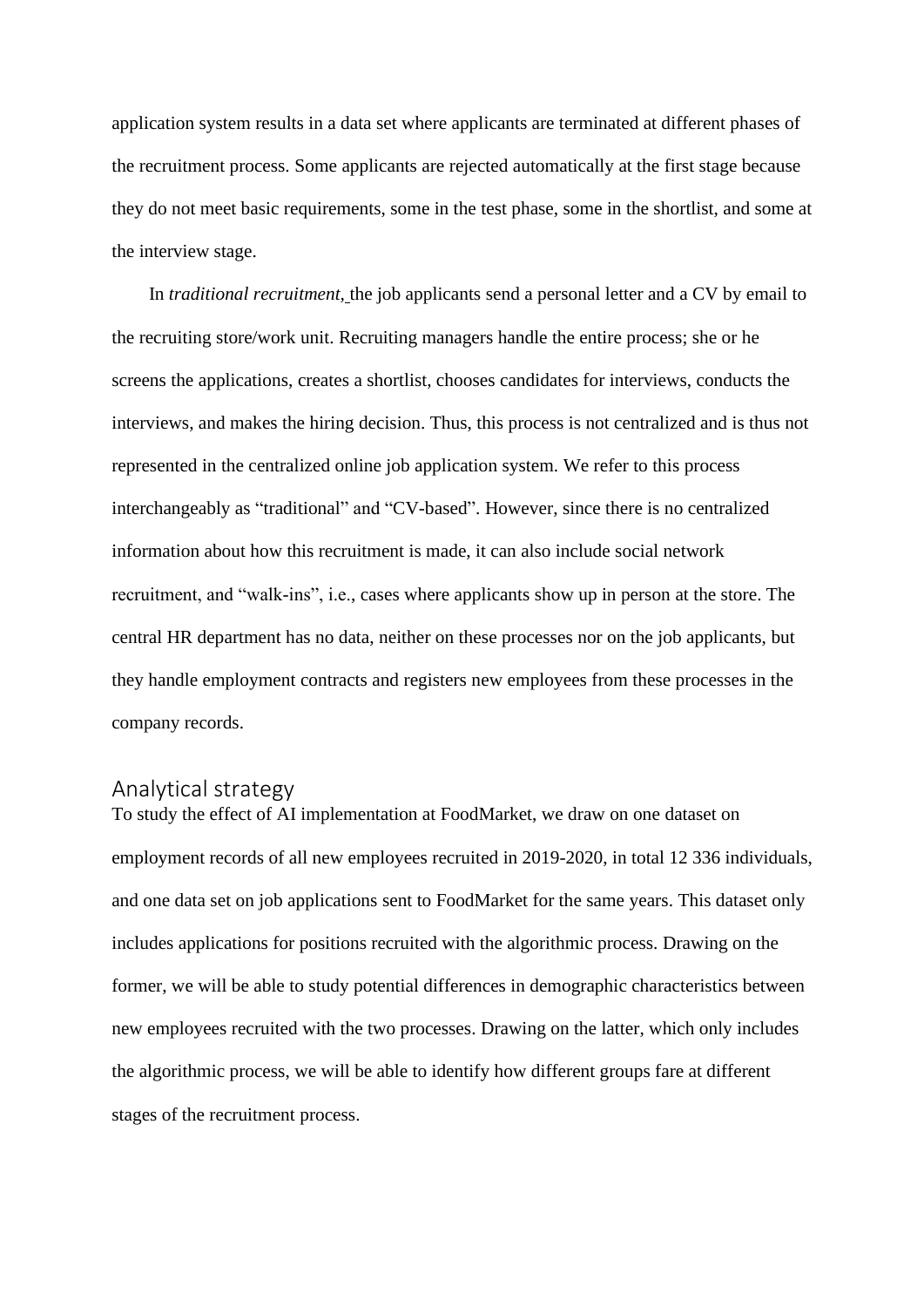application system results in a data set where applicants are terminated at different phases of the recruitment process. Some applicants are rejected automatically at the first stage because they do not meet basic requirements, some in the test phase, some in the shortlist, and some at the interview stage.

 In *traditional recruitment,* the job applicants send a personal letter and a CV by email to the recruiting store/work unit. Recruiting managers handle the entire process; she or he screens the applications, creates a shortlist, chooses candidates for interviews, conducts the interviews, and makes the hiring decision. Thus, this process is not centralized and is thus not represented in the centralized online job application system. We refer to this process interchangeably as "traditional" and "CV-based". However, since there is no centralized information about how this recruitment is made, it can also include social network recruitment, and "walk-ins", i.e., cases where applicants show up in person at the store. The central HR department has no data, neither on these processes nor on the job applicants, but they handle employment contracts and registers new employees from these processes in the company records.

### Analytical strategy

To study the effect of AI implementation at FoodMarket, we draw on one dataset on employment records of all new employees recruited in 2019-2020, in total 12 336 individuals, and one data set on job applications sent to FoodMarket for the same years. This dataset only includes applications for positions recruited with the algorithmic process. Drawing on the former, we will be able to study potential differences in demographic characteristics between new employees recruited with the two processes. Drawing on the latter, which only includes the algorithmic process, we will be able to identify how different groups fare at different stages of the recruitment process.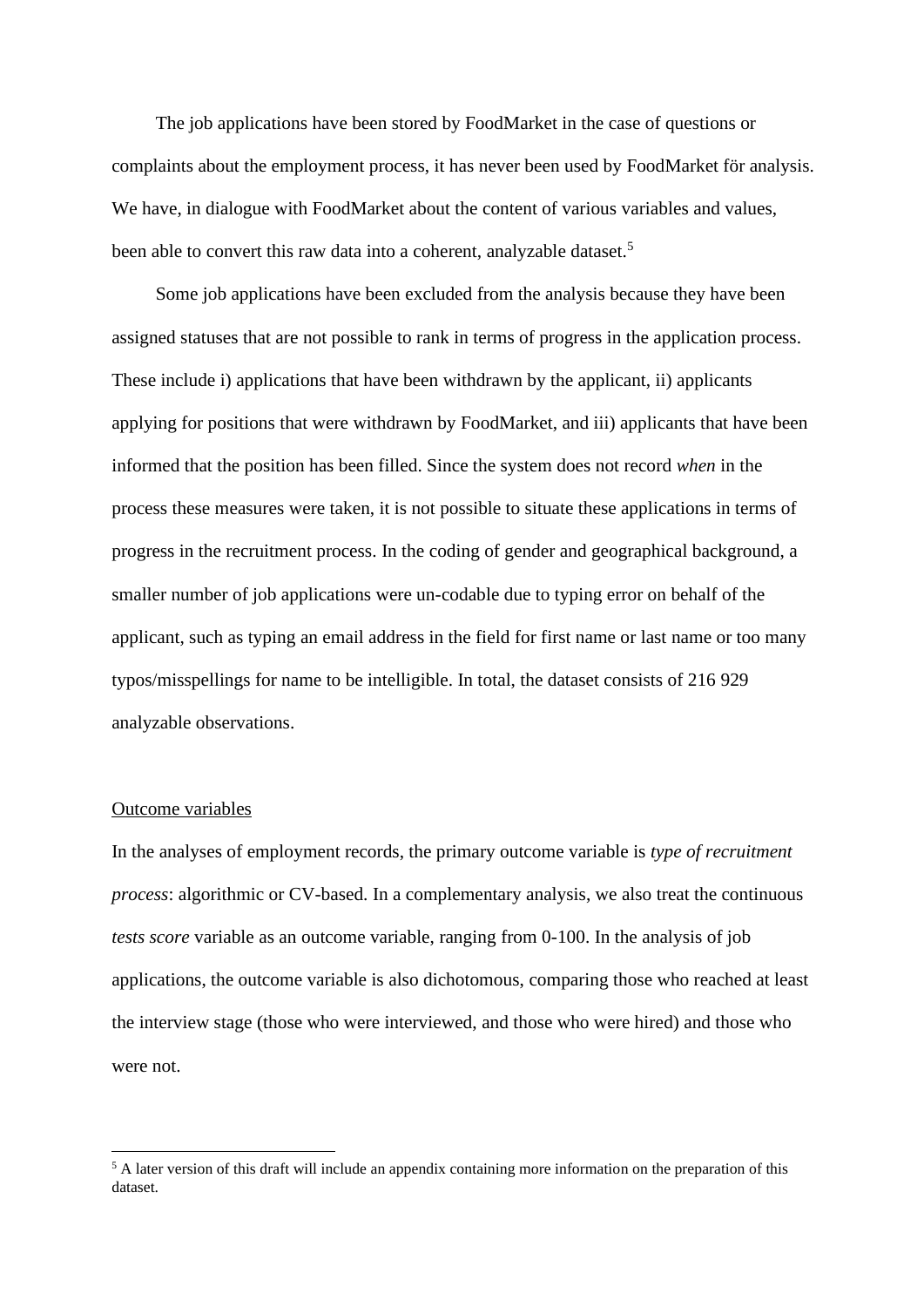The job applications have been stored by FoodMarket in the case of questions or complaints about the employment process, it has never been used by FoodMarket för analysis. We have, in dialogue with FoodMarket about the content of various variables and values, been able to convert this raw data into a coherent, analyzable dataset.<sup>5</sup>

Some job applications have been excluded from the analysis because they have been assigned statuses that are not possible to rank in terms of progress in the application process. These include i) applications that have been withdrawn by the applicant, ii) applicants applying for positions that were withdrawn by FoodMarket, and iii) applicants that have been informed that the position has been filled. Since the system does not record *when* in the process these measures were taken, it is not possible to situate these applications in terms of progress in the recruitment process. In the coding of gender and geographical background, a smaller number of job applications were un-codable due to typing error on behalf of the applicant, such as typing an email address in the field for first name or last name or too many typos/misspellings for name to be intelligible. In total, the dataset consists of 216 929 analyzable observations.

#### Outcome variables

In the analyses of employment records, the primary outcome variable is *type of recruitment process*: algorithmic or CV-based. In a complementary analysis, we also treat the continuous *tests score* variable as an outcome variable, ranging from 0-100. In the analysis of job applications, the outcome variable is also dichotomous, comparing those who reached at least the interview stage (those who were interviewed, and those who were hired) and those who were not.

<sup>&</sup>lt;sup>5</sup> A later version of this draft will include an appendix containing more information on the preparation of this dataset.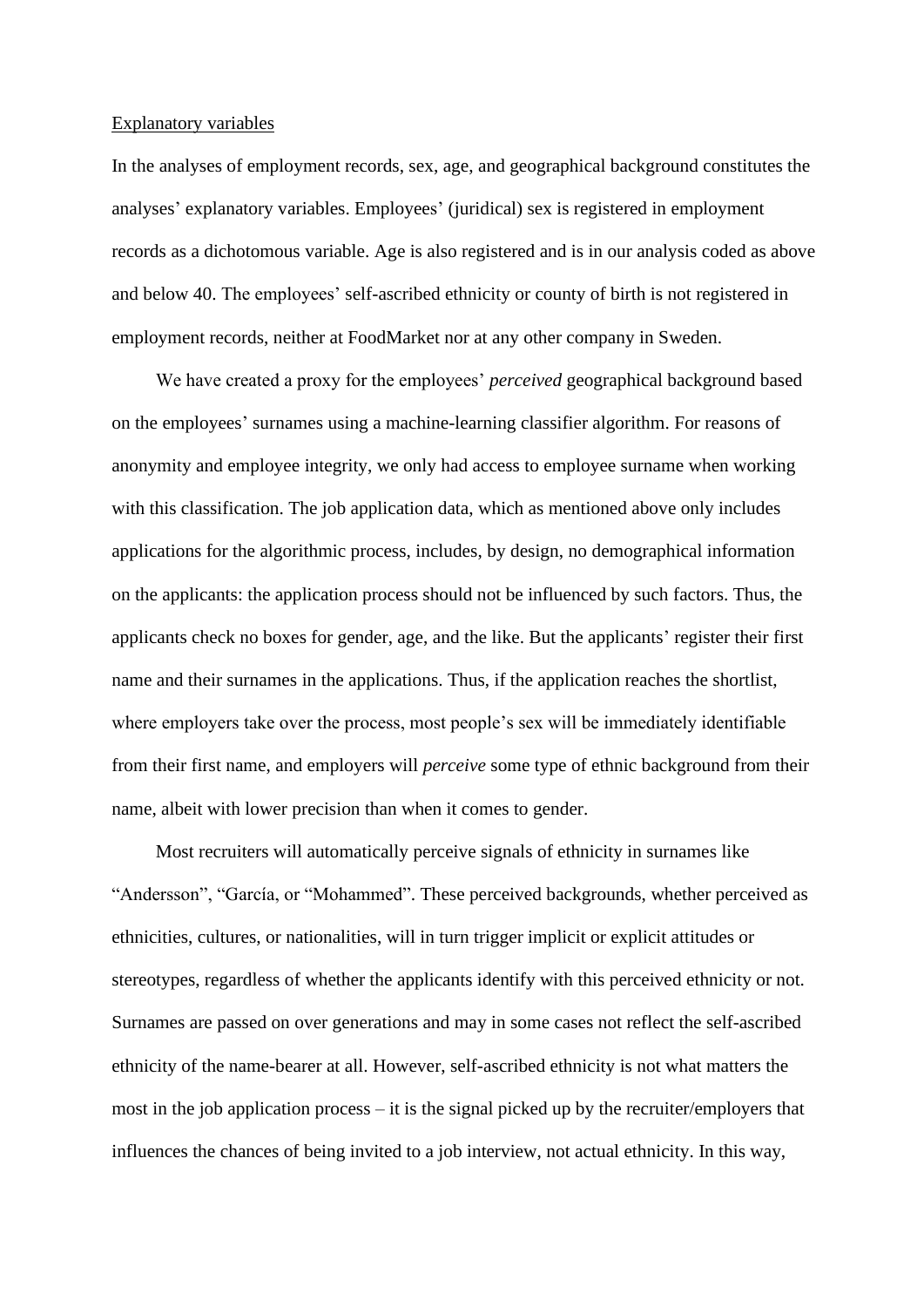#### Explanatory variables

In the analyses of employment records, sex, age, and geographical background constitutes the analyses' explanatory variables. Employees' (juridical) sex is registered in employment records as a dichotomous variable. Age is also registered and is in our analysis coded as above and below 40. The employees' self-ascribed ethnicity or county of birth is not registered in employment records, neither at FoodMarket nor at any other company in Sweden.

We have created a proxy for the employees' *perceived* geographical background based on the employees' surnames using a machine-learning classifier algorithm. For reasons of anonymity and employee integrity, we only had access to employee surname when working with this classification. The job application data, which as mentioned above only includes applications for the algorithmic process, includes, by design, no demographical information on the applicants: the application process should not be influenced by such factors. Thus, the applicants check no boxes for gender, age, and the like. But the applicants' register their first name and their surnames in the applications. Thus, if the application reaches the shortlist, where employers take over the process, most people's sex will be immediately identifiable from their first name, and employers will *perceive* some type of ethnic background from their name, albeit with lower precision than when it comes to gender.

Most recruiters will automatically perceive signals of ethnicity in surnames like "Andersson", "García, or "Mohammed". These perceived backgrounds, whether perceived as ethnicities, cultures, or nationalities, will in turn trigger implicit or explicit attitudes or stereotypes, regardless of whether the applicants identify with this perceived ethnicity or not. Surnames are passed on over generations and may in some cases not reflect the self-ascribed ethnicity of the name-bearer at all. However, self-ascribed ethnicity is not what matters the most in the job application process – it is the signal picked up by the recruiter/employers that influences the chances of being invited to a job interview, not actual ethnicity. In this way,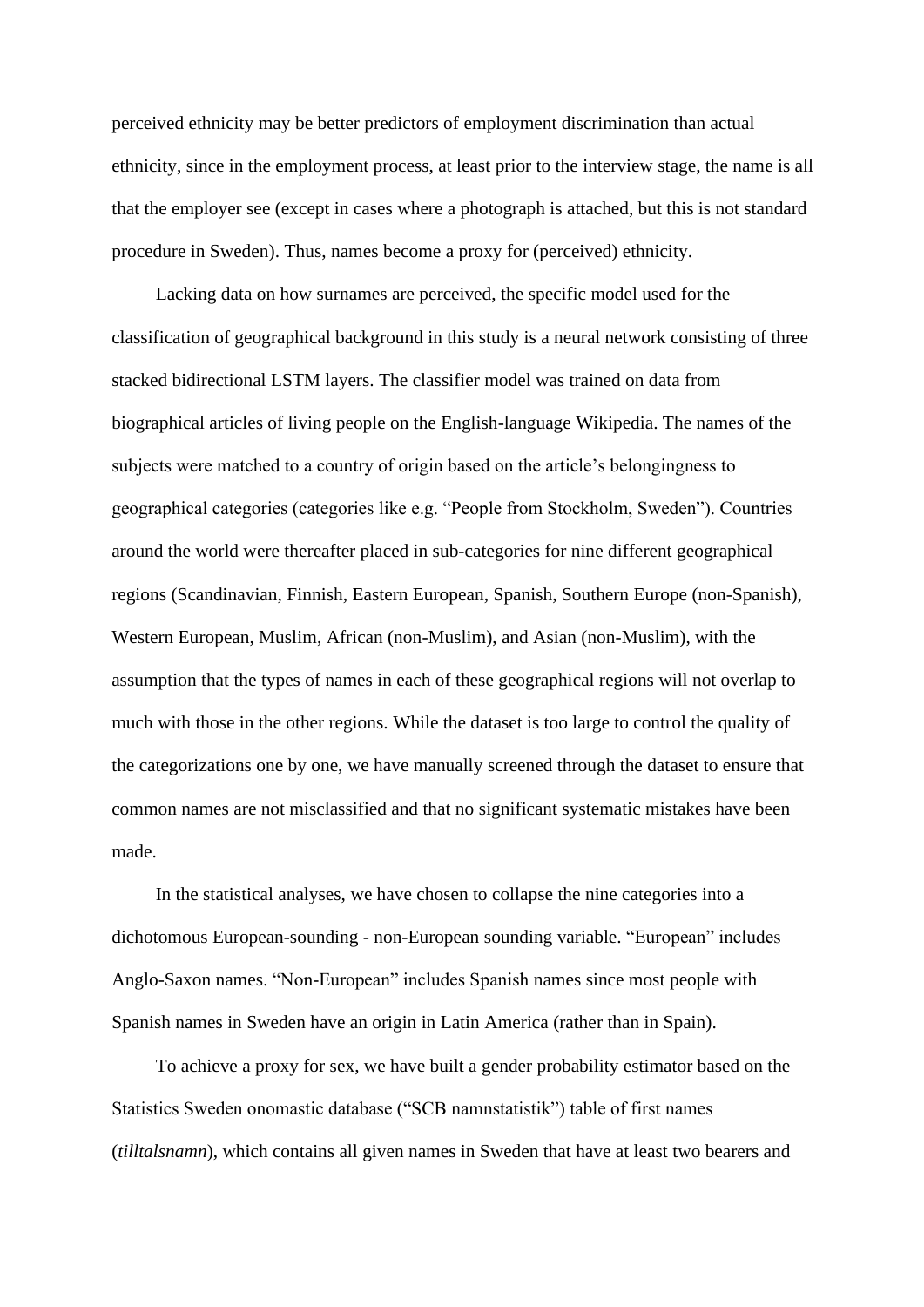perceived ethnicity may be better predictors of employment discrimination than actual ethnicity, since in the employment process, at least prior to the interview stage, the name is all that the employer see (except in cases where a photograph is attached, but this is not standard procedure in Sweden). Thus, names become a proxy for (perceived) ethnicity.

Lacking data on how surnames are perceived, the specific model used for the classification of geographical background in this study is a neural network consisting of three stacked bidirectional LSTM layers. The classifier model was trained on data from biographical articles of living people on the English-language Wikipedia. The names of the subjects were matched to a country of origin based on the article's belongingness to geographical categories (categories like e.g. "People from Stockholm, Sweden"). Countries around the world were thereafter placed in sub-categories for nine different geographical regions (Scandinavian, Finnish, Eastern European, Spanish, Southern Europe (non-Spanish), Western European, Muslim, African (non-Muslim), and Asian (non-Muslim), with the assumption that the types of names in each of these geographical regions will not overlap to much with those in the other regions. While the dataset is too large to control the quality of the categorizations one by one, we have manually screened through the dataset to ensure that common names are not misclassified and that no significant systematic mistakes have been made.

In the statistical analyses, we have chosen to collapse the nine categories into a dichotomous European-sounding - non-European sounding variable. "European" includes Anglo-Saxon names. "Non-European" includes Spanish names since most people with Spanish names in Sweden have an origin in Latin America (rather than in Spain).

To achieve a proxy for sex, we have built a gender probability estimator based on the Statistics Sweden onomastic database ("SCB namnstatistik") table of first names (*tilltalsnamn*), which contains all given names in Sweden that have at least two bearers and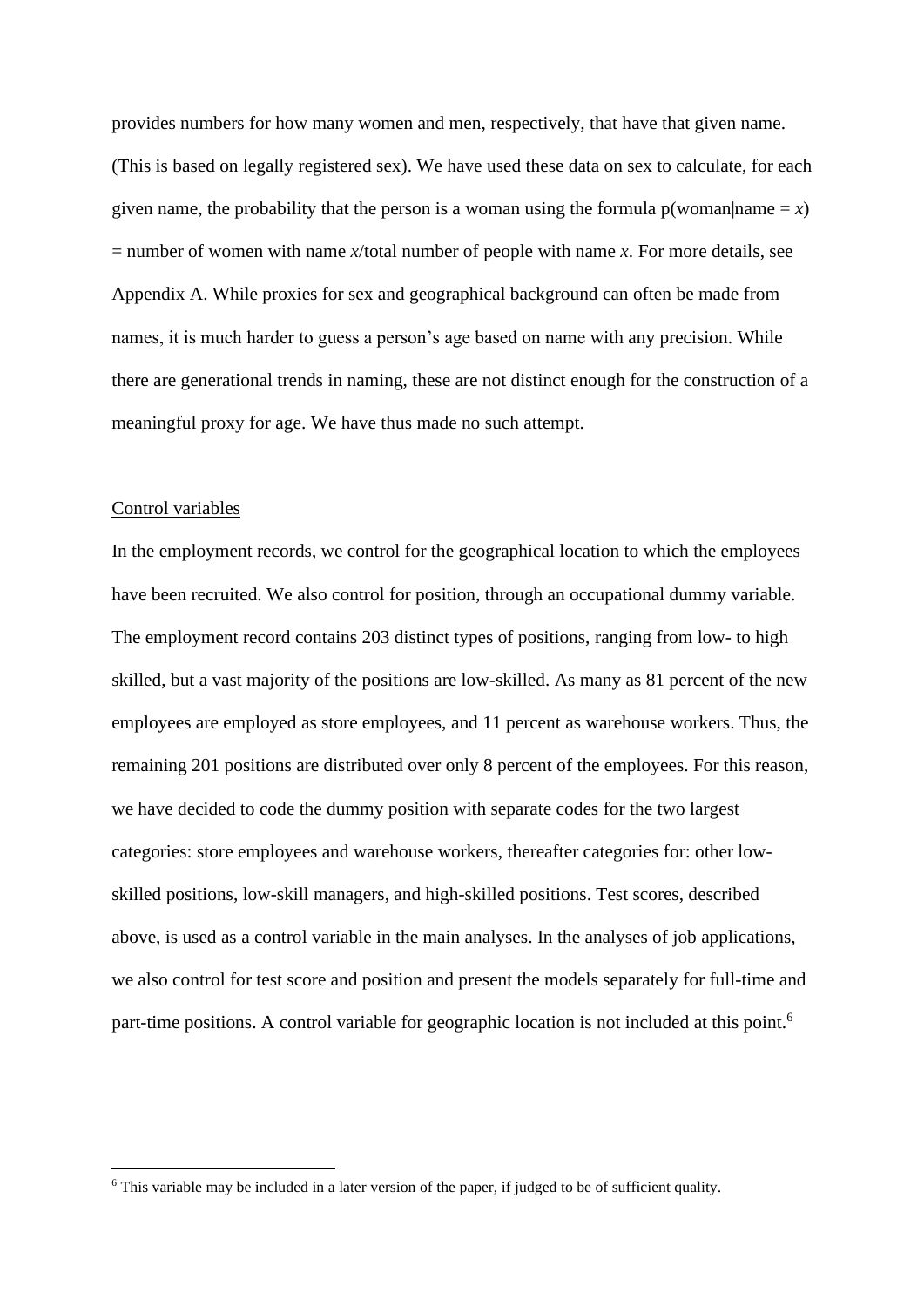provides numbers for how many women and men, respectively, that have that given name. (This is based on legally registered sex). We have used these data on sex to calculate, for each given name, the probability that the person is a woman using the formula  $p(woman|name = x)$  $=$  number of women with name *x*/total number of people with name *x*. For more details, see Appendix A. While proxies for sex and geographical background can often be made from names, it is much harder to guess a person's age based on name with any precision. While there are generational trends in naming, these are not distinct enough for the construction of a meaningful proxy for age. We have thus made no such attempt.

#### Control variables

In the employment records, we control for the geographical location to which the employees have been recruited. We also control for position, through an occupational dummy variable. The employment record contains 203 distinct types of positions, ranging from low- to high skilled, but a vast majority of the positions are low-skilled. As many as 81 percent of the new employees are employed as store employees, and 11 percent as warehouse workers. Thus, the remaining 201 positions are distributed over only 8 percent of the employees. For this reason, we have decided to code the dummy position with separate codes for the two largest categories: store employees and warehouse workers, thereafter categories for: other lowskilled positions, low-skill managers, and high-skilled positions. Test scores, described above, is used as a control variable in the main analyses. In the analyses of job applications, we also control for test score and position and present the models separately for full-time and part-time positions. A control variable for geographic location is not included at this point.<sup>6</sup>

<sup>6</sup> This variable may be included in a later version of the paper, if judged to be of sufficient quality.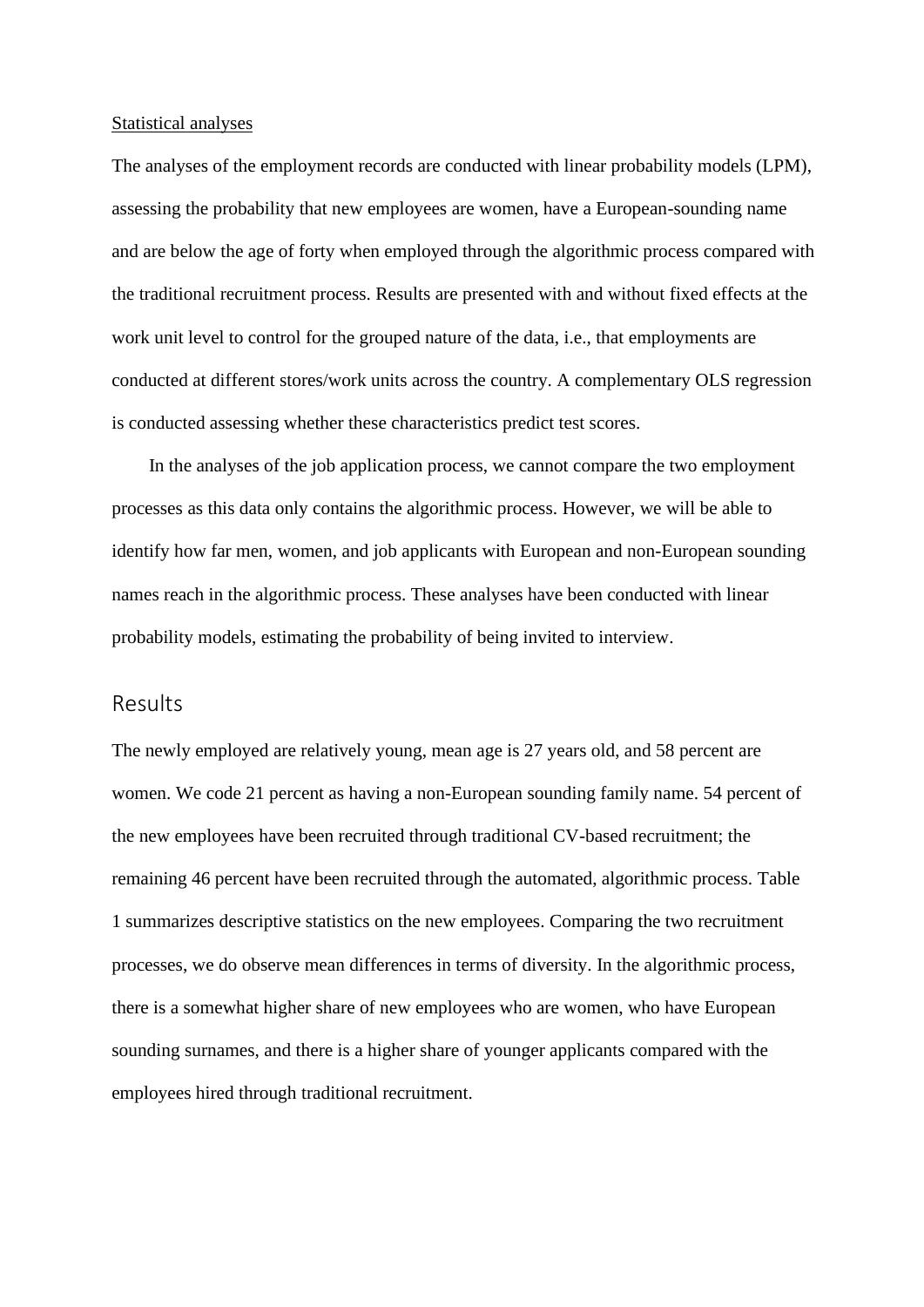#### Statistical analyses

The analyses of the employment records are conducted with linear probability models (LPM), assessing the probability that new employees are women, have a European-sounding name and are below the age of forty when employed through the algorithmic process compared with the traditional recruitment process. Results are presented with and without fixed effects at the work unit level to control for the grouped nature of the data, i.e., that employments are conducted at different stores/work units across the country. A complementary OLS regression is conducted assessing whether these characteristics predict test scores.

 In the analyses of the job application process, we cannot compare the two employment processes as this data only contains the algorithmic process. However, we will be able to identify how far men, women, and job applicants with European and non-European sounding names reach in the algorithmic process. These analyses have been conducted with linear probability models, estimating the probability of being invited to interview.

#### Results

The newly employed are relatively young, mean age is 27 years old, and 58 percent are women. We code 21 percent as having a non-European sounding family name. 54 percent of the new employees have been recruited through traditional CV-based recruitment; the remaining 46 percent have been recruited through the automated, algorithmic process. Table 1 summarizes descriptive statistics on the new employees. Comparing the two recruitment processes, we do observe mean differences in terms of diversity. In the algorithmic process, there is a somewhat higher share of new employees who are women, who have European sounding surnames, and there is a higher share of younger applicants compared with the employees hired through traditional recruitment.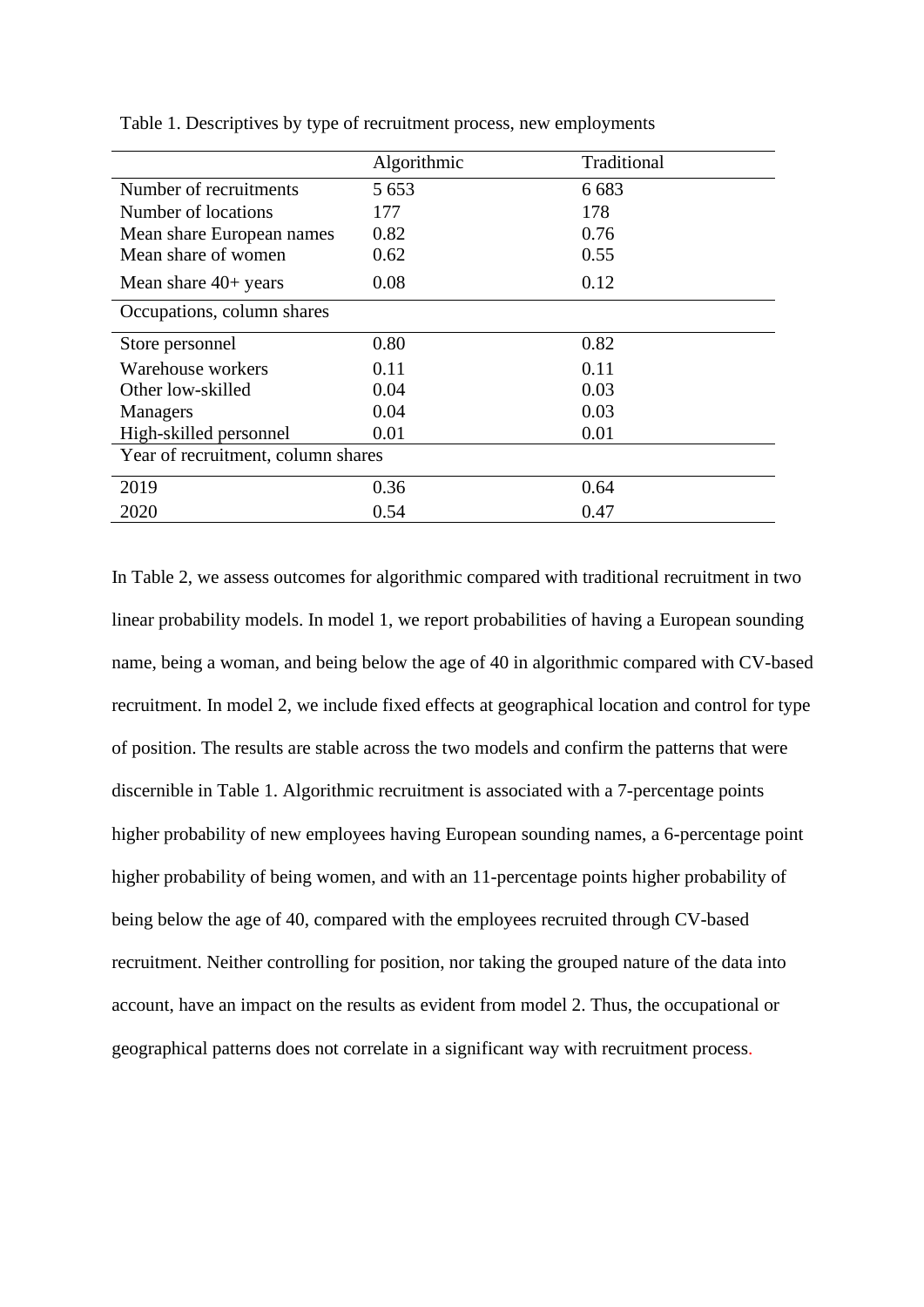|                                    | Algorithmic | Traditional |  |
|------------------------------------|-------------|-------------|--|
| Number of recruitments             | 5 6 5 3     | 6 6 8 3     |  |
| Number of locations                | 177         | 178         |  |
| Mean share European names          | 0.82        | 0.76        |  |
| Mean share of women                | 0.62        | 0.55        |  |
| Mean share $40+$ years             | 0.08        | 0.12        |  |
| Occupations, column shares         |             |             |  |
| Store personnel                    | 0.80        | 0.82        |  |
| Warehouse workers                  | 0.11        | 0.11        |  |
| Other low-skilled                  | 0.04        | 0.03        |  |
| Managers                           | 0.04        | 0.03        |  |
| High-skilled personnel             | 0.01        | 0.01        |  |
| Year of recruitment, column shares |             |             |  |
| 2019                               | 0.36        | 0.64        |  |
| 2020                               | 0.54        | 0.47        |  |

Table 1. Descriptives by type of recruitment process, new employments

In Table 2, we assess outcomes for algorithmic compared with traditional recruitment in two linear probability models. In model 1, we report probabilities of having a European sounding name, being a woman, and being below the age of 40 in algorithmic compared with CV-based recruitment. In model 2, we include fixed effects at geographical location and control for type of position. The results are stable across the two models and confirm the patterns that were discernible in Table 1. Algorithmic recruitment is associated with a 7-percentage points higher probability of new employees having European sounding names, a 6-percentage point higher probability of being women, and with an 11-percentage points higher probability of being below the age of 40, compared with the employees recruited through CV-based recruitment. Neither controlling for position, nor taking the grouped nature of the data into account, have an impact on the results as evident from model 2. Thus, the occupational or geographical patterns does not correlate in a significant way with recruitment process.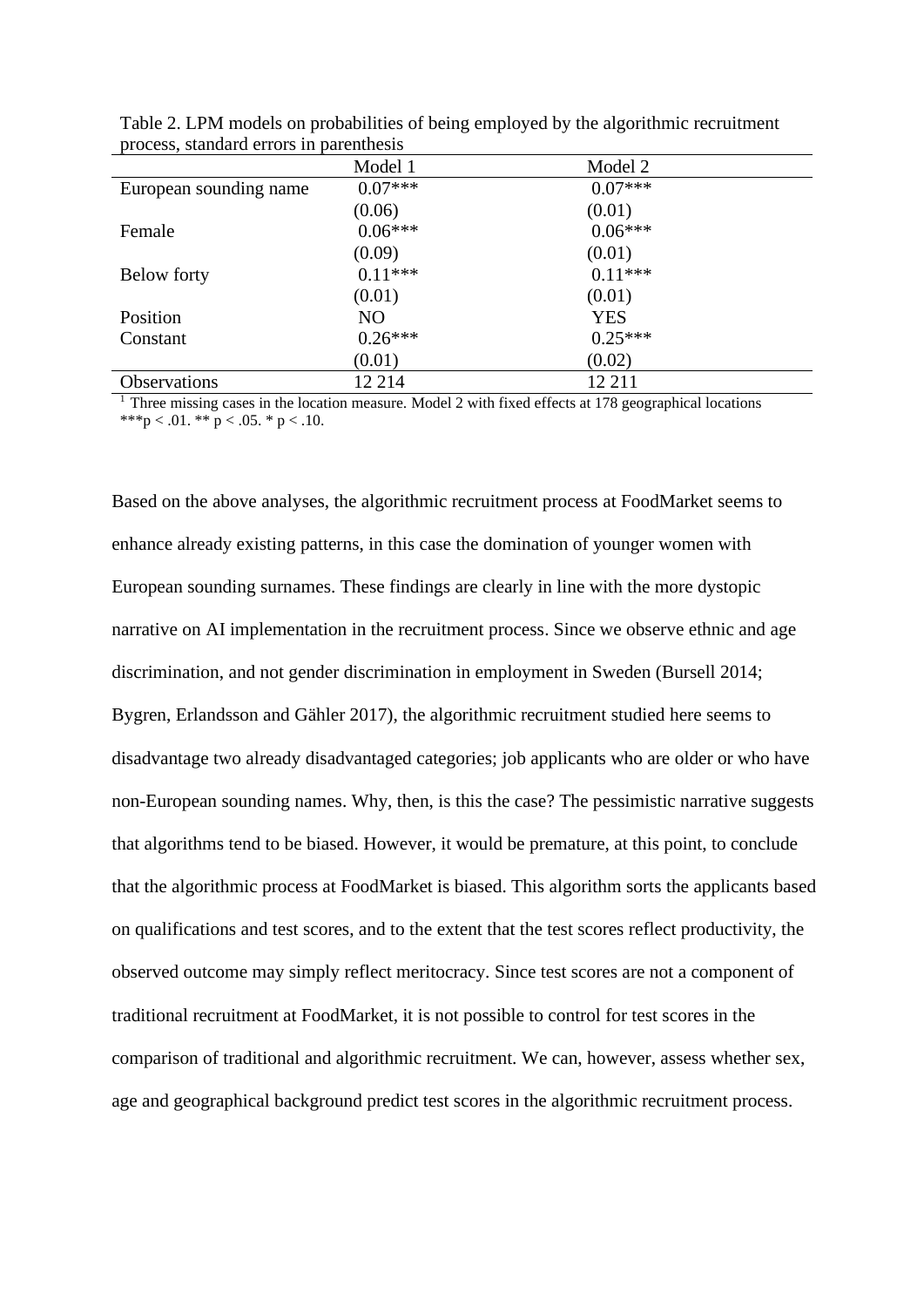|                        | Model 1   | Model 2    |  |
|------------------------|-----------|------------|--|
| European sounding name | $0.07***$ | $0.07***$  |  |
|                        | (0.06)    | (0.01)     |  |
| Female                 | $0.06***$ | $0.06***$  |  |
|                        | (0.09)    | (0.01)     |  |
| Below forty            | $0.11***$ | $0.11***$  |  |
|                        | (0.01)    | (0.01)     |  |
| Position               | NO        | <b>YES</b> |  |
| Constant               | $0.26***$ | $0.25***$  |  |
|                        | (0.01)    | (0.02)     |  |
| <b>Observations</b>    | 12 214    | 12 211     |  |

Table 2. LPM models on probabilities of being employed by the algorithmic recruitment process, standard errors in parenthesis

 $1$  Three missing cases in the location measure. Model 2 with fixed effects at 178 geographical locations \*\*\*p < .01. \*\* p < .05. \* p < .10.

Based on the above analyses, the algorithmic recruitment process at FoodMarket seems to enhance already existing patterns, in this case the domination of younger women with European sounding surnames. These findings are clearly in line with the more dystopic narrative on AI implementation in the recruitment process. Since we observe ethnic and age discrimination, and not gender discrimination in employment in Sweden (Bursell 2014; Bygren, Erlandsson and Gähler 2017), the algorithmic recruitment studied here seems to disadvantage two already disadvantaged categories; job applicants who are older or who have non-European sounding names. Why, then, is this the case? The pessimistic narrative suggests that algorithms tend to be biased. However, it would be premature, at this point, to conclude that the algorithmic process at FoodMarket is biased. This algorithm sorts the applicants based on qualifications and test scores, and to the extent that the test scores reflect productivity, the observed outcome may simply reflect meritocracy. Since test scores are not a component of traditional recruitment at FoodMarket, it is not possible to control for test scores in the comparison of traditional and algorithmic recruitment. We can, however, assess whether sex, age and geographical background predict test scores in the algorithmic recruitment process.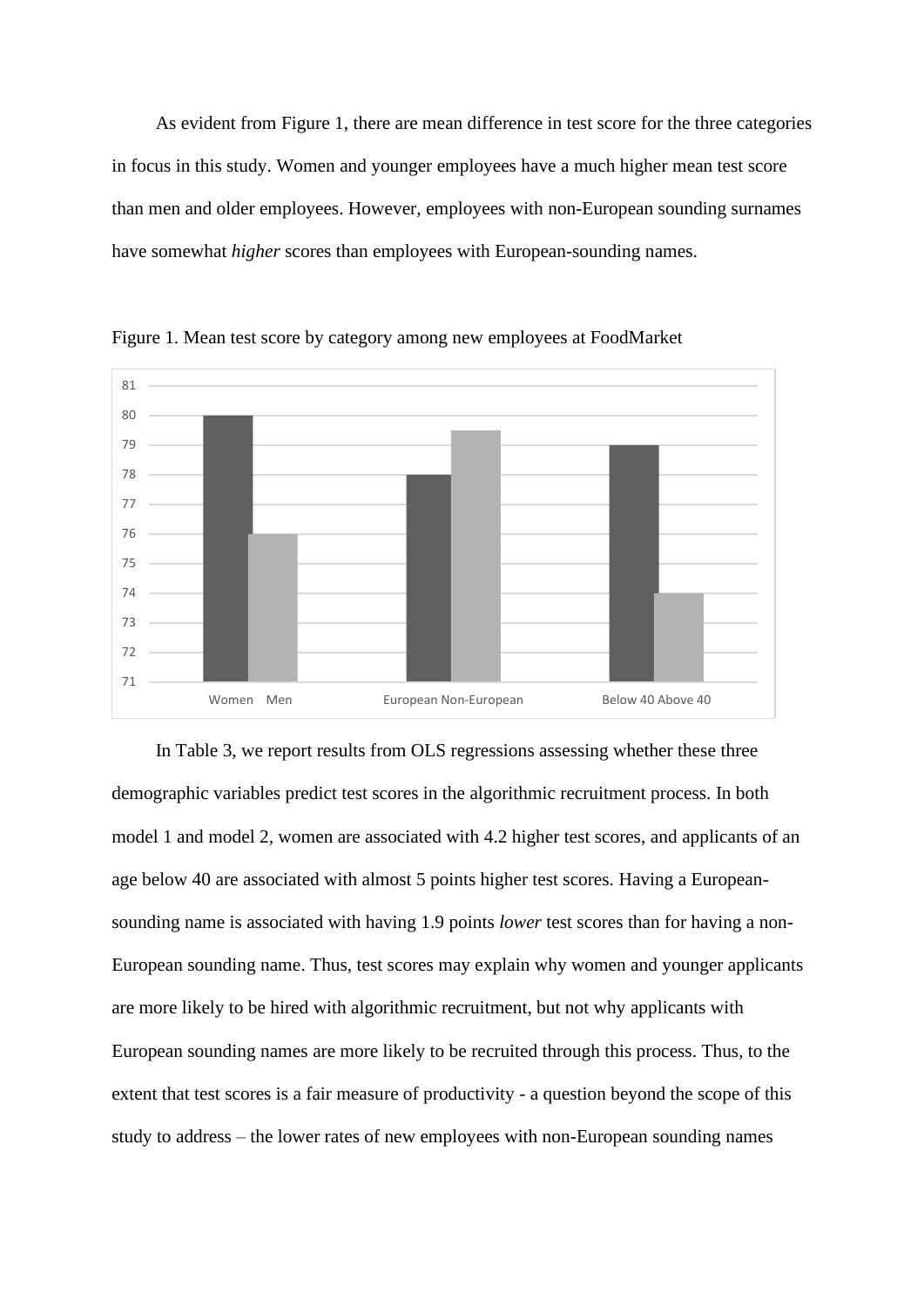As evident from Figure 1, there are mean difference in test score for the three categories in focus in this study. Women and younger employees have a much higher mean test score than men and older employees. However, employees with non-European sounding surnames have somewhat *higher* scores than employees with European-sounding names.



Figure 1. Mean test score by category among new employees at FoodMarket

In Table 3, we report results from OLS regressions assessing whether these three demographic variables predict test scores in the algorithmic recruitment process. In both model 1 and model 2, women are associated with 4.2 higher test scores, and applicants of an age below 40 are associated with almost 5 points higher test scores. Having a Europeansounding name is associated with having 1.9 points *lower* test scores than for having a non-European sounding name. Thus, test scores may explain why women and younger applicants are more likely to be hired with algorithmic recruitment, but not why applicants with European sounding names are more likely to be recruited through this process. Thus, to the extent that test scores is a fair measure of productivity - a question beyond the scope of this study to address – the lower rates of new employees with non-European sounding names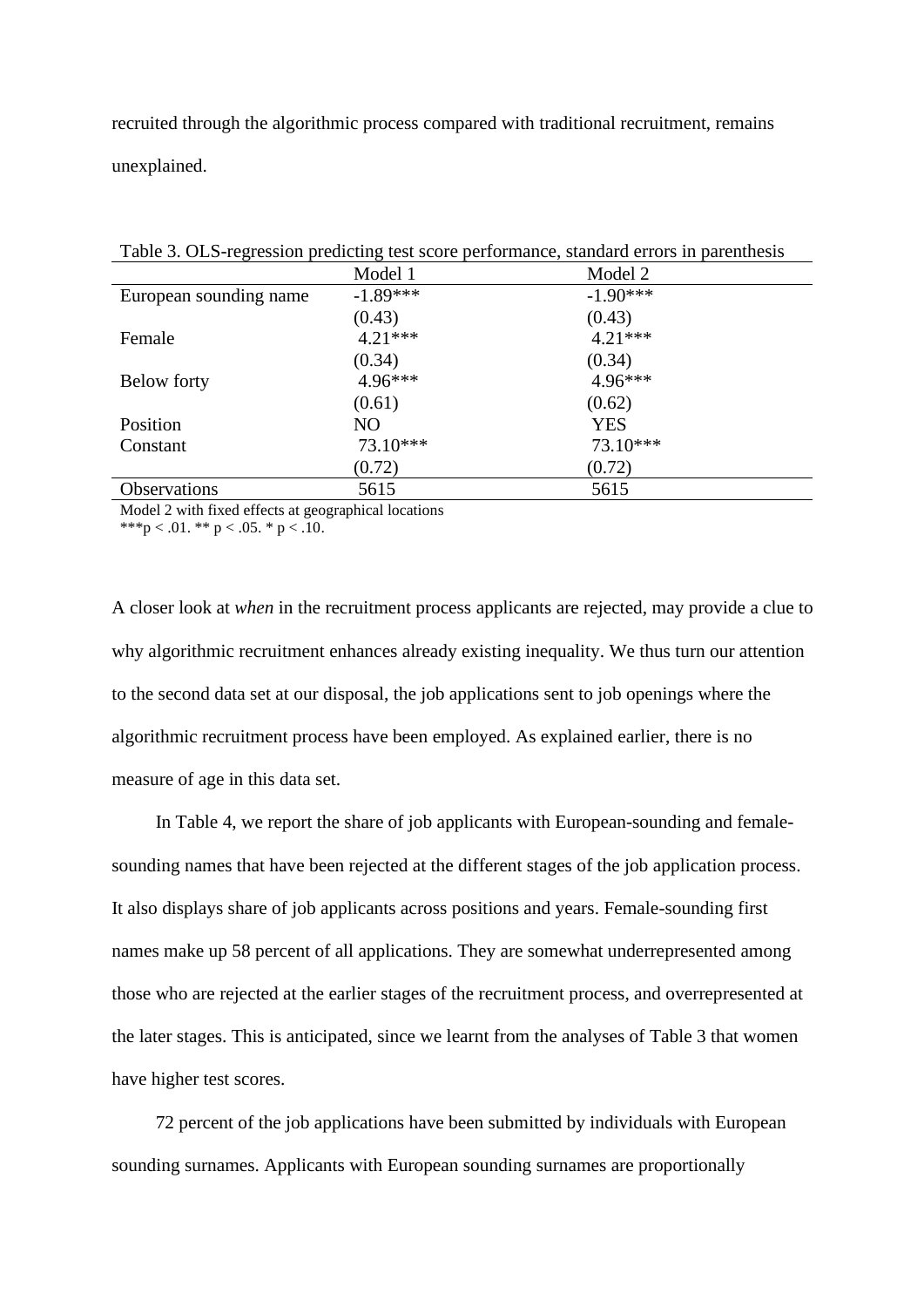recruited through the algorithmic process compared with traditional recruitment, remains unexplained.

| Tuote st Olio Tegression preuteing test secre performance, standard en ors in parenthesis |            |            |  |  |  |
|-------------------------------------------------------------------------------------------|------------|------------|--|--|--|
|                                                                                           | Model 1    | Model 2    |  |  |  |
| European sounding name                                                                    | $-1.89***$ | $-1.90***$ |  |  |  |
|                                                                                           | (0.43)     | (0.43)     |  |  |  |
| Female                                                                                    | $4.21***$  | $4.21***$  |  |  |  |
|                                                                                           | (0.34)     | (0.34)     |  |  |  |
| Below forty                                                                               | 4.96***    | $4.96***$  |  |  |  |
|                                                                                           | (0.61)     | (0.62)     |  |  |  |
| Position                                                                                  | NO.        | <b>YES</b> |  |  |  |
| Constant                                                                                  | 73.10***   | $73.10***$ |  |  |  |
|                                                                                           | (0.72)     | (0.72)     |  |  |  |
| <b>Observations</b>                                                                       | 5615       | 5615       |  |  |  |

Table 3. OLS-regression predicting test score performance, standard errors in parenthesis

Model 2 with fixed effects at geographical locations

\*\*\*p < .01. \*\* p < .05. \* p < .10.

A closer look at *when* in the recruitment process applicants are rejected, may provide a clue to why algorithmic recruitment enhances already existing inequality. We thus turn our attention to the second data set at our disposal, the job applications sent to job openings where the algorithmic recruitment process have been employed. As explained earlier, there is no measure of age in this data set.

In Table 4, we report the share of job applicants with European-sounding and femalesounding names that have been rejected at the different stages of the job application process. It also displays share of job applicants across positions and years. Female-sounding first names make up 58 percent of all applications. They are somewhat underrepresented among those who are rejected at the earlier stages of the recruitment process, and overrepresented at the later stages. This is anticipated, since we learnt from the analyses of Table 3 that women have higher test scores.

72 percent of the job applications have been submitted by individuals with European sounding surnames. Applicants with European sounding surnames are proportionally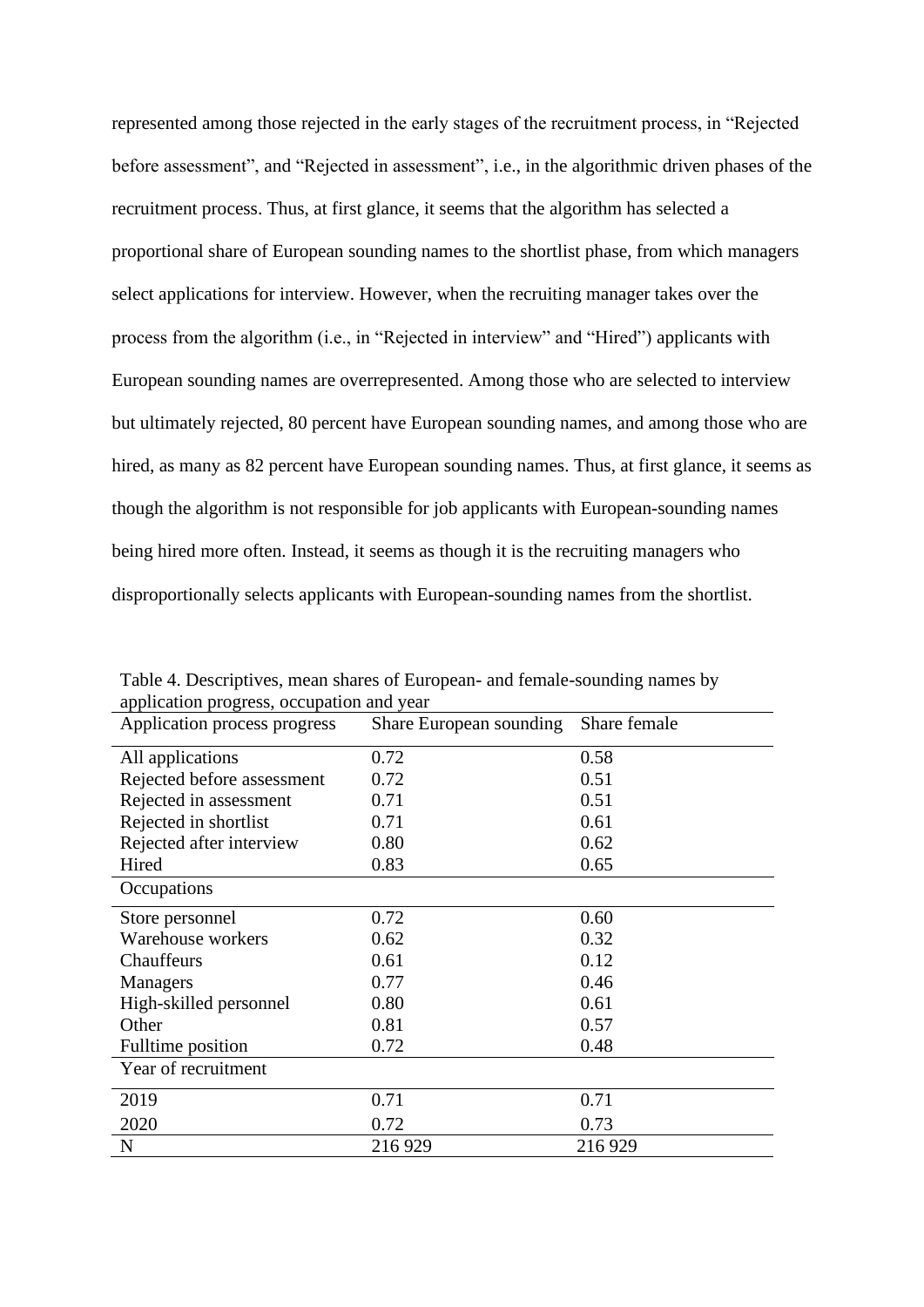represented among those rejected in the early stages of the recruitment process, in "Rejected before assessment", and "Rejected in assessment", i.e., in the algorithmic driven phases of the recruitment process. Thus, at first glance, it seems that the algorithm has selected a proportional share of European sounding names to the shortlist phase, from which managers select applications for interview. However, when the recruiting manager takes over the process from the algorithm (i.e., in "Rejected in interview" and "Hired") applicants with European sounding names are overrepresented. Among those who are selected to interview but ultimately rejected, 80 percent have European sounding names, and among those who are hired, as many as 82 percent have European sounding names. Thus, at first glance, it seems as though the algorithm is not responsible for job applicants with European-sounding names being hired more often. Instead, it seems as though it is the recruiting managers who disproportionally selects applicants with European-sounding names from the shortlist.

|  |                        | Table 4. Descriptives, mean shares of European- and female-sounding names by |  |  |  |  |  |
|--|------------------------|------------------------------------------------------------------------------|--|--|--|--|--|
|  |                        | application progress, occupation and year                                    |  |  |  |  |  |
|  | $\lambda$ 1, $\lambda$ |                                                                              |  |  |  |  |  |

| Application process progress | Share European sounding | Share female |  |
|------------------------------|-------------------------|--------------|--|
| All applications             | 0.72                    | 0.58         |  |
| Rejected before assessment   | 0.72                    | 0.51         |  |
| Rejected in assessment       | 0.71                    | 0.51         |  |
| Rejected in shortlist        | 0.71                    | 0.61         |  |
| Rejected after interview     | 0.80                    | 0.62         |  |
| Hired                        | 0.83                    | 0.65         |  |
| Occupations                  |                         |              |  |
| Store personnel              | 0.72                    | 0.60         |  |
| Warehouse workers            | 0.62                    | 0.32         |  |
| Chauffeurs                   | 0.61                    | 0.12         |  |
| Managers                     | 0.77                    | 0.46         |  |
| High-skilled personnel       | 0.80                    | 0.61         |  |
| Other                        | 0.81                    | 0.57         |  |
| Fulltime position            | 0.72                    | 0.48         |  |
| Year of recruitment          |                         |              |  |
| 2019                         | 0.71                    | 0.71         |  |
| 2020                         | 0.72                    | 0.73         |  |
| $\mathbf N$                  | 216929                  | 216929       |  |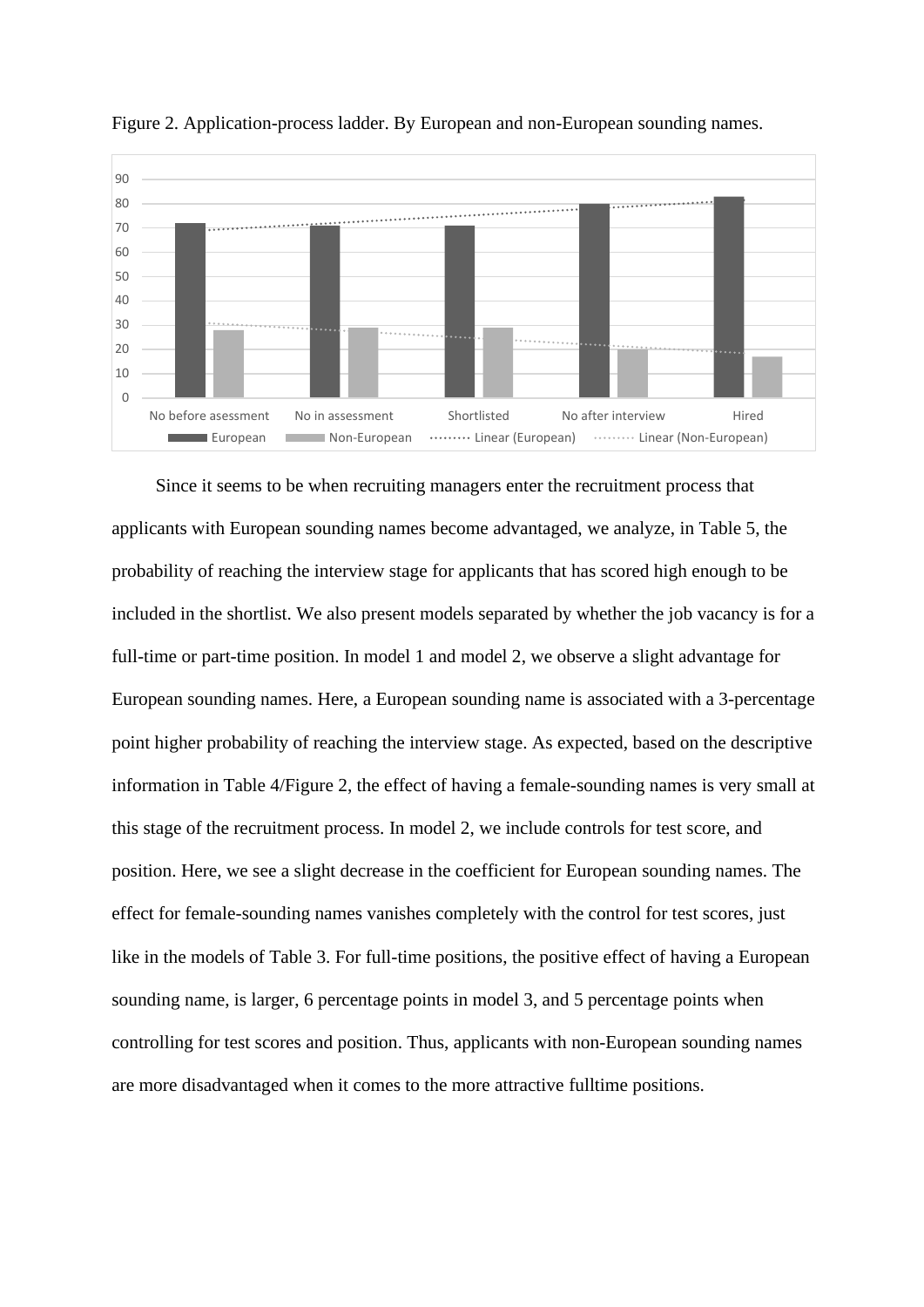



Since it seems to be when recruiting managers enter the recruitment process that applicants with European sounding names become advantaged, we analyze, in Table 5, the probability of reaching the interview stage for applicants that has scored high enough to be included in the shortlist. We also present models separated by whether the job vacancy is for a full-time or part-time position. In model 1 and model 2, we observe a slight advantage for European sounding names. Here, a European sounding name is associated with a 3-percentage point higher probability of reaching the interview stage. As expected, based on the descriptive information in Table 4/Figure 2, the effect of having a female-sounding names is very small at this stage of the recruitment process. In model 2, we include controls for test score, and position. Here, we see a slight decrease in the coefficient for European sounding names. The effect for female-sounding names vanishes completely with the control for test scores, just like in the models of Table 3. For full-time positions, the positive effect of having a European sounding name, is larger, 6 percentage points in model 3, and 5 percentage points when controlling for test scores and position. Thus, applicants with non-European sounding names are more disadvantaged when it comes to the more attractive fulltime positions.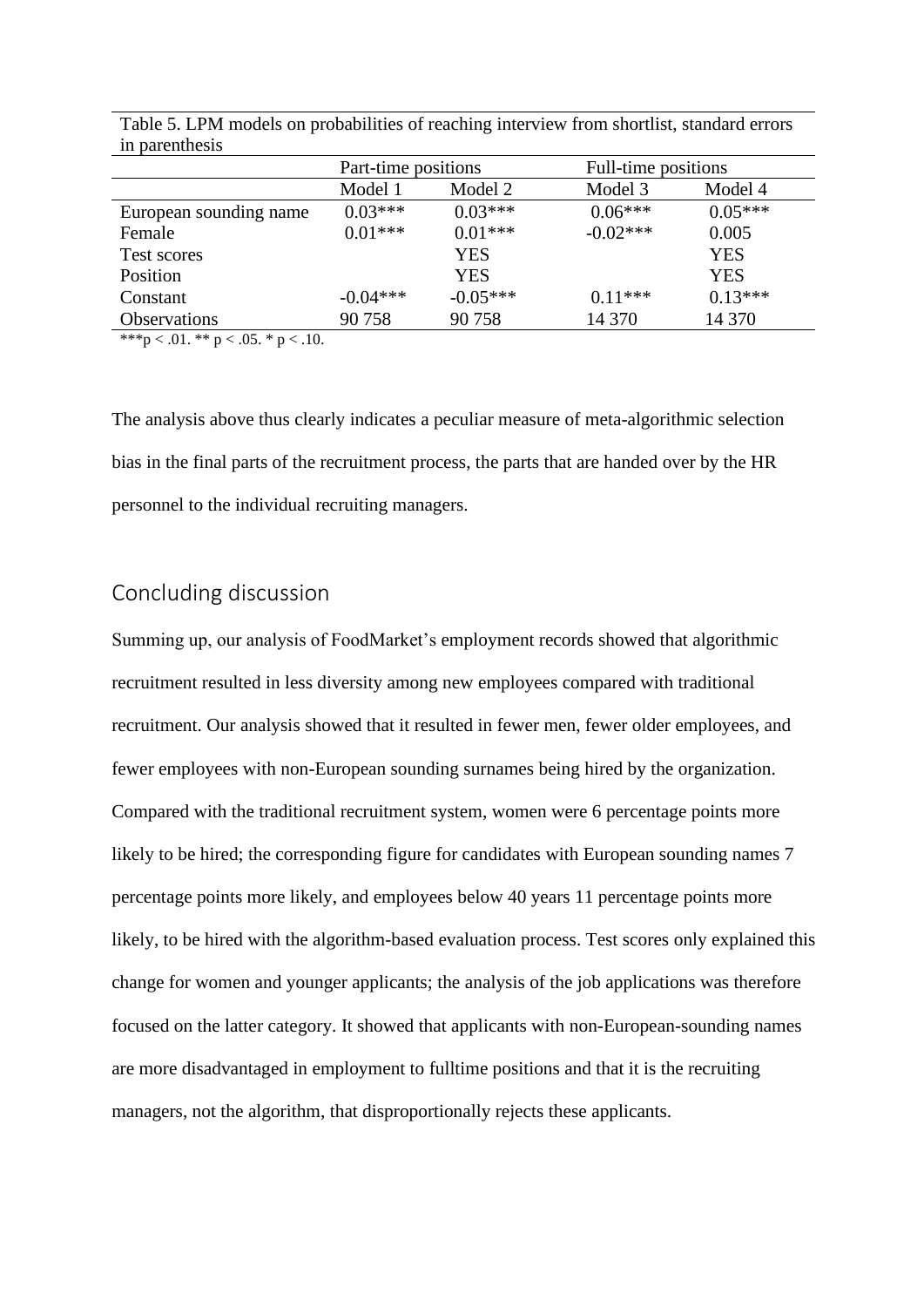| III parentinesis       |                     |            |                     |            |
|------------------------|---------------------|------------|---------------------|------------|
|                        | Part-time positions |            | Full-time positions |            |
|                        | Model 1             | Model 2    | Model 3             | Model 4    |
| European sounding name | $0.03***$           | $0.03***$  | $0.06***$           | $0.05***$  |
| Female                 | $0.01***$           | $0.01***$  | $-0.02***$          | 0.005      |
| Test scores            |                     | YES        |                     | <b>YES</b> |
| Position               |                     | <b>YES</b> |                     | <b>YES</b> |
| Constant               | $-0.04***$          | $-0.05***$ | $0.11***$           | $0.13***$  |
| <b>Observations</b>    | 90758               | 90758      | 14 370              | 14 370     |
|                        |                     |            |                     |            |

Table 5. LPM models on probabilities of reaching interview from shortlist, standard errors in parenthesis

\*\*\*p < .01. \*\* p < .05. \* p < .10.

The analysis above thus clearly indicates a peculiar measure of meta-algorithmic selection bias in the final parts of the recruitment process, the parts that are handed over by the HR personnel to the individual recruiting managers.

# Concluding discussion

Summing up, our analysis of FoodMarket's employment records showed that algorithmic recruitment resulted in less diversity among new employees compared with traditional recruitment. Our analysis showed that it resulted in fewer men, fewer older employees, and fewer employees with non-European sounding surnames being hired by the organization. Compared with the traditional recruitment system, women were 6 percentage points more likely to be hired; the corresponding figure for candidates with European sounding names 7 percentage points more likely, and employees below 40 years 11 percentage points more likely, to be hired with the algorithm-based evaluation process. Test scores only explained this change for women and younger applicants; the analysis of the job applications was therefore focused on the latter category. It showed that applicants with non-European-sounding names are more disadvantaged in employment to fulltime positions and that it is the recruiting managers, not the algorithm, that disproportionally rejects these applicants.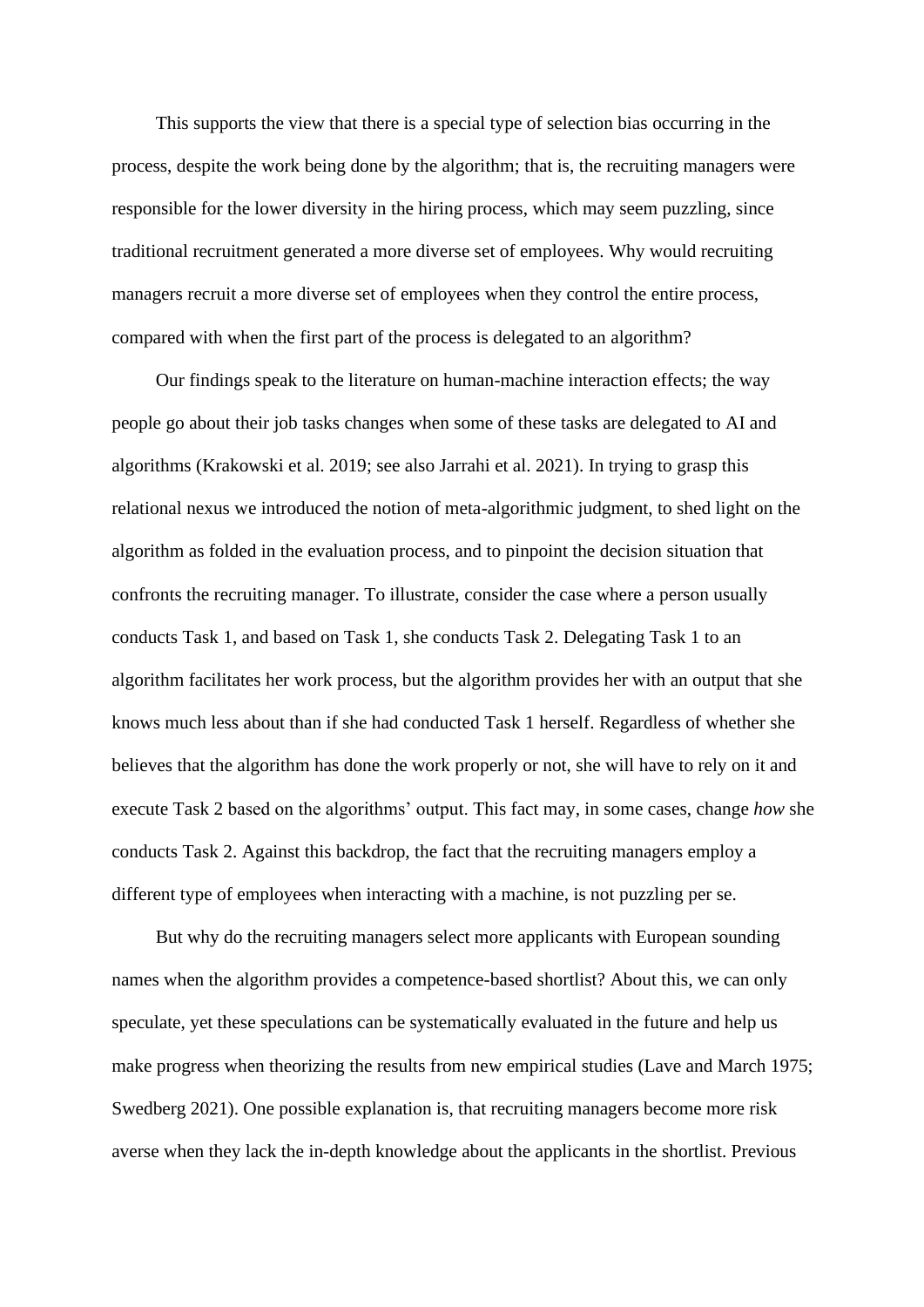This supports the view that there is a special type of selection bias occurring in the process, despite the work being done by the algorithm; that is, the recruiting managers were responsible for the lower diversity in the hiring process, which may seem puzzling, since traditional recruitment generated a more diverse set of employees. Why would recruiting managers recruit a more diverse set of employees when they control the entire process, compared with when the first part of the process is delegated to an algorithm?

Our findings speak to the literature on human-machine interaction effects; the way people go about their job tasks changes when some of these tasks are delegated to AI and algorithms (Krakowski et al. 2019; see also Jarrahi et al. 2021). In trying to grasp this relational nexus we introduced the notion of meta-algorithmic judgment, to shed light on the algorithm as folded in the evaluation process, and to pinpoint the decision situation that confronts the recruiting manager. To illustrate, consider the case where a person usually conducts Task 1, and based on Task 1, she conducts Task 2. Delegating Task 1 to an algorithm facilitates her work process, but the algorithm provides her with an output that she knows much less about than if she had conducted Task 1 herself. Regardless of whether she believes that the algorithm has done the work properly or not, she will have to rely on it and execute Task 2 based on the algorithms' output. This fact may, in some cases, change *how* she conducts Task 2. Against this backdrop, the fact that the recruiting managers employ a different type of employees when interacting with a machine, is not puzzling per se.

But why do the recruiting managers select more applicants with European sounding names when the algorithm provides a competence-based shortlist? About this, we can only speculate, yet these speculations can be systematically evaluated in the future and help us make progress when theorizing the results from new empirical studies (Lave and March 1975; Swedberg 2021). One possible explanation is, that recruiting managers become more risk averse when they lack the in-depth knowledge about the applicants in the shortlist. Previous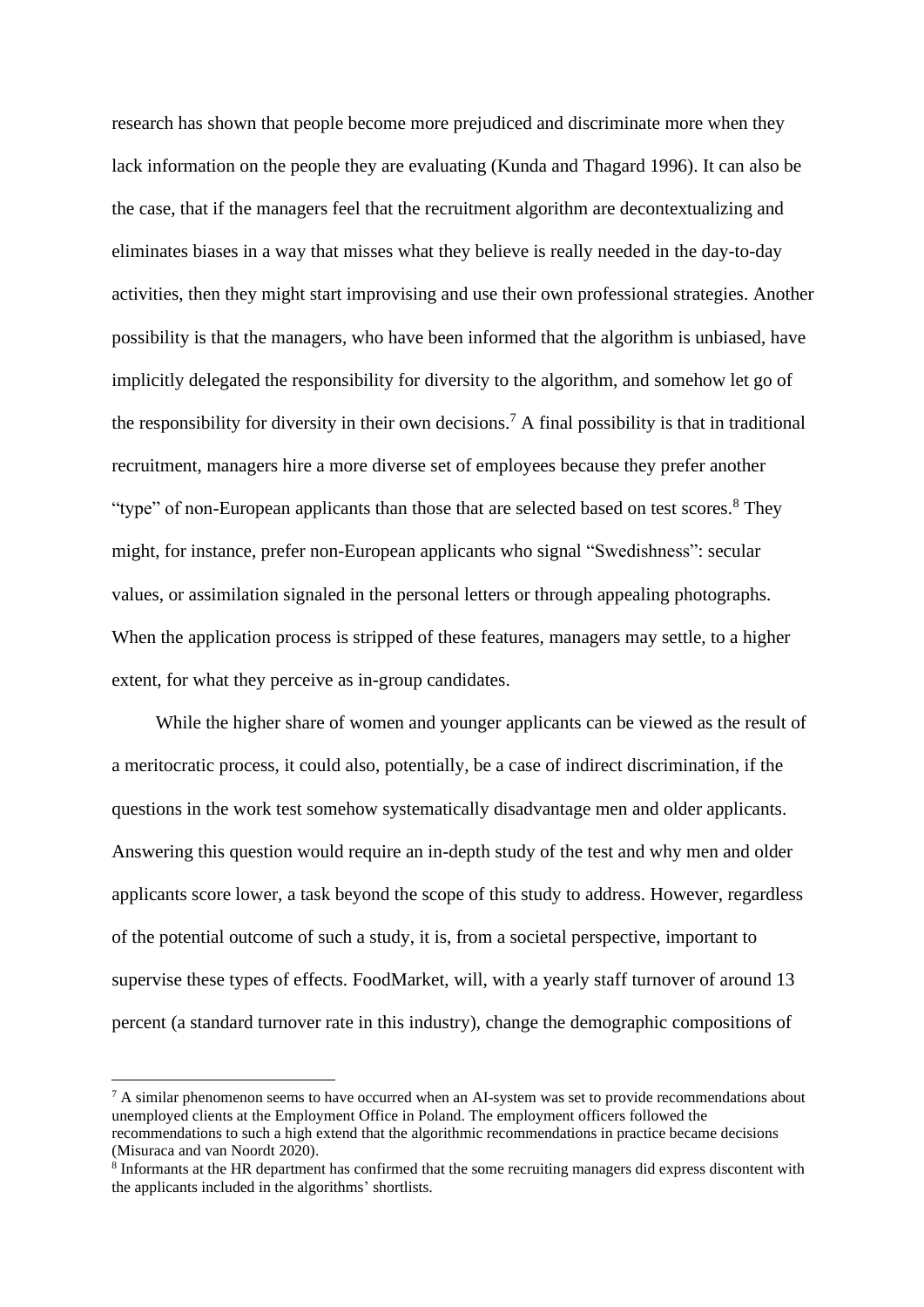research has shown that people become more prejudiced and discriminate more when they lack information on the people they are evaluating (Kunda and Thagard 1996). It can also be the case, that if the managers feel that the recruitment algorithm are decontextualizing and eliminates biases in a way that misses what they believe is really needed in the day-to-day activities, then they might start improvising and use their own professional strategies. Another possibility is that the managers, who have been informed that the algorithm is unbiased, have implicitly delegated the responsibility for diversity to the algorithm, and somehow let go of the responsibility for diversity in their own decisions.<sup>7</sup> A final possibility is that in traditional recruitment, managers hire a more diverse set of employees because they prefer another "type" of non-European applicants than those that are selected based on test scores.<sup>8</sup> They might, for instance, prefer non-European applicants who signal "Swedishness": secular values, or assimilation signaled in the personal letters or through appealing photographs. When the application process is stripped of these features, managers may settle, to a higher extent, for what they perceive as in-group candidates.

While the higher share of women and younger applicants can be viewed as the result of a meritocratic process, it could also, potentially, be a case of indirect discrimination, if the questions in the work test somehow systematically disadvantage men and older applicants. Answering this question would require an in-depth study of the test and why men and older applicants score lower, a task beyond the scope of this study to address. However, regardless of the potential outcome of such a study, it is, from a societal perspective, important to supervise these types of effects. FoodMarket, will, with a yearly staff turnover of around 13 percent (a standard turnover rate in this industry), change the demographic compositions of

 $7$  A similar phenomenon seems to have occurred when an AI-system was set to provide recommendations about unemployed clients at the Employment Office in Poland. The employment officers followed the recommendations to such a high extend that the algorithmic recommendations in practice became decisions (Misuraca and van Noordt 2020).

<sup>8</sup> Informants at the HR department has confirmed that the some recruiting managers did express discontent with the applicants included in the algorithms' shortlists.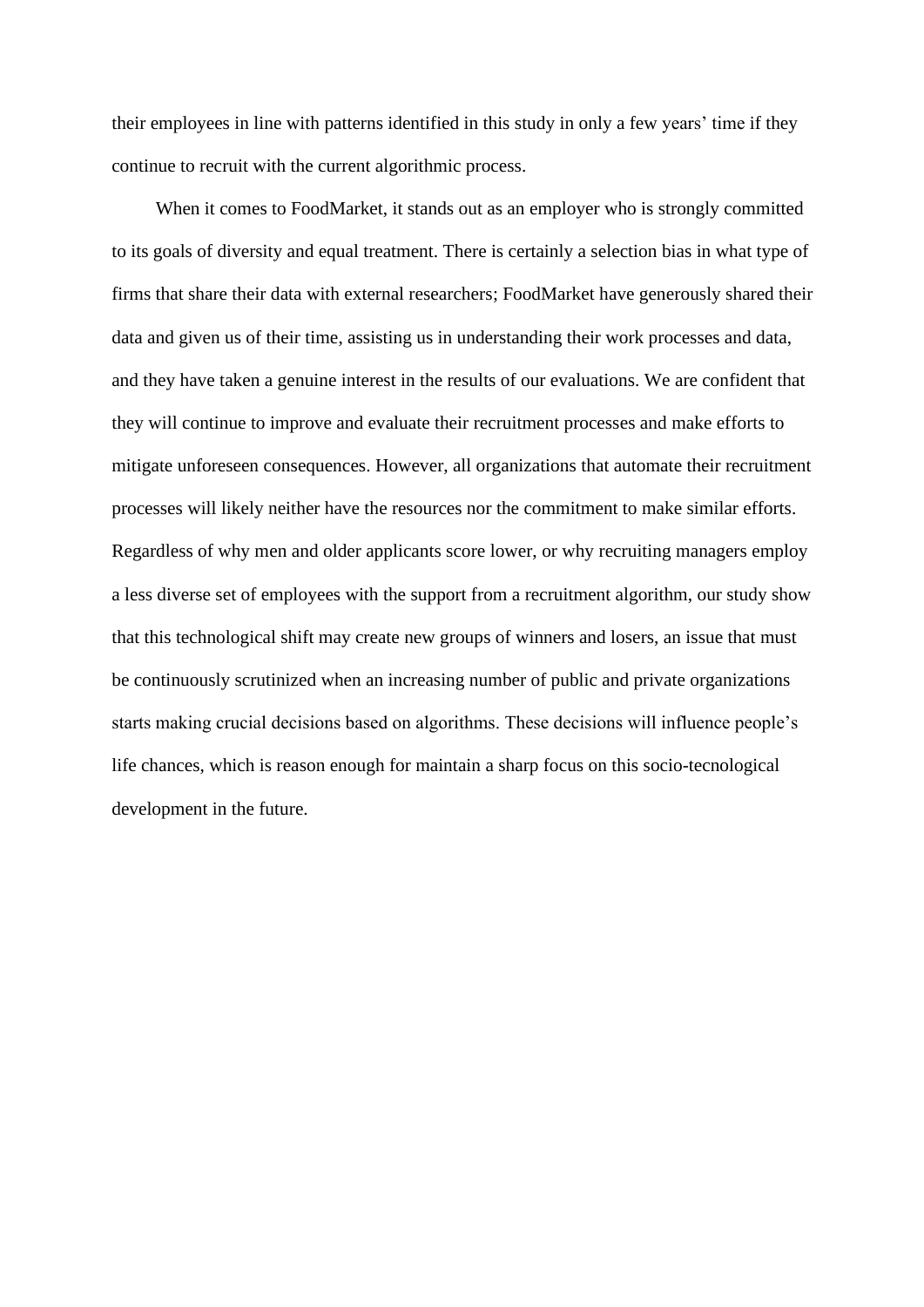their employees in line with patterns identified in this study in only a few years' time if they continue to recruit with the current algorithmic process.

When it comes to FoodMarket, it stands out as an employer who is strongly committed to its goals of diversity and equal treatment. There is certainly a selection bias in what type of firms that share their data with external researchers; FoodMarket have generously shared their data and given us of their time, assisting us in understanding their work processes and data, and they have taken a genuine interest in the results of our evaluations. We are confident that they will continue to improve and evaluate their recruitment processes and make efforts to mitigate unforeseen consequences. However, all organizations that automate their recruitment processes will likely neither have the resources nor the commitment to make similar efforts. Regardless of why men and older applicants score lower, or why recruiting managers employ a less diverse set of employees with the support from a recruitment algorithm, our study show that this technological shift may create new groups of winners and losers, an issue that must be continuously scrutinized when an increasing number of public and private organizations starts making crucial decisions based on algorithms. These decisions will influence people's life chances, which is reason enough for maintain a sharp focus on this socio-tecnological development in the future.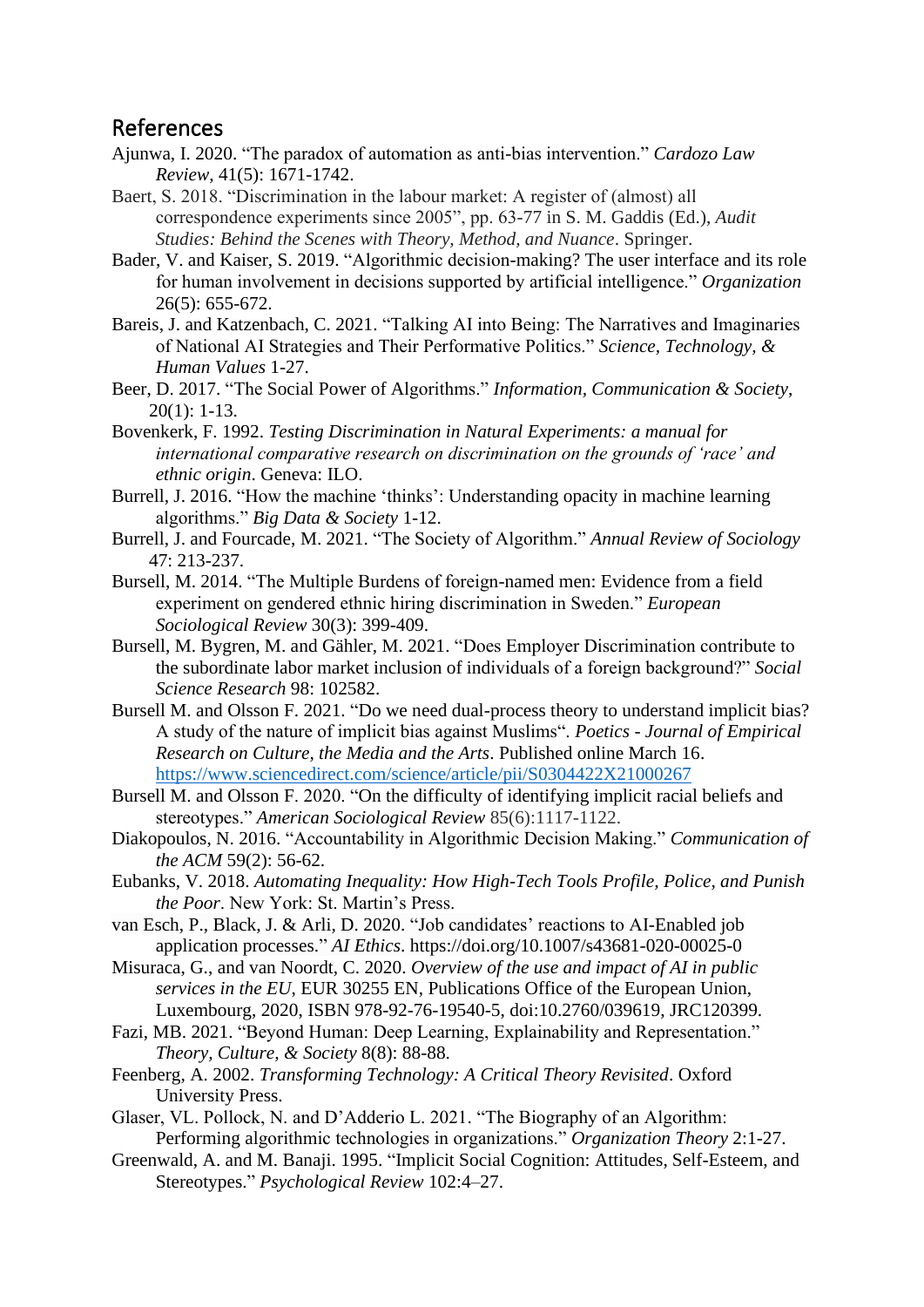### References

- Ajunwa, I. 2020. "The paradox of automation as anti-bias intervention." *Cardozo Law Review*, 41(5): 1671-1742.
- Baert, S. 2018. "Discrimination in the labour market: A register of (almost) all correspondence experiments since 2005", pp. 63-77 in S. M. Gaddis (Ed.), *Audit Studies: Behind the Scenes with Theory, Method, and Nuance*. Springer.
- Bader, V. and Kaiser, S. 2019. "Algorithmic decision-making? The user interface and its role for human involvement in decisions supported by artificial intelligence." *Organization* 26(5): 655-672.
- Bareis, J. and Katzenbach, C. 2021. "Talking AI into Being: The Narratives and Imaginaries of National AI Strategies and Their Performative Politics." *Science, Technology, & Human Values* 1-27.
- Beer, D. 2017. "The Social Power of Algorithms." *Information, Communication & Society*, 20(1): 1-13.
- Bovenkerk, F. 1992. *Testing Discrimination in Natural Experiments: a manual for international comparative research on discrimination on the grounds of 'race' and ethnic origin*. Geneva: ILO.
- Burrell, J. 2016. "How the machine 'thinks': Understanding opacity in machine learning algorithms." *Big Data & Society* 1-12.
- Burrell, J. and Fourcade, M. 2021. "The Society of Algorithm." *Annual Review of Sociology* 47: 213-237.
- Bursell, M. 2014. "The Multiple Burdens of foreign-named men: Evidence from a field experiment on gendered ethnic hiring discrimination in Sweden." *European Sociological Review* 30(3): 399-409.
- Bursell, M. Bygren, M. and Gähler, M. 2021. "Does Employer Discrimination contribute to the subordinate labor market inclusion of individuals of a foreign background?" *Social Science Research* 98: 102582.
- Bursell M. and Olsson F. 2021. "Do we need dual-process theory to understand implicit bias? A study of the nature of implicit bias against Muslims". *Poetics - Journal of Empirical Research on Culture, the Media and the Arts*. Published online March 16. <https://www.sciencedirect.com/science/article/pii/S0304422X21000267>
- Bursell M. and Olsson F. 2020. "On the difficulty of identifying implicit racial beliefs and stereotypes." *American Sociological Review* 85(6):1117-1122.
- Diakopoulos, N. 2016. "Accountability in Algorithmic Decision Making." *Communication of the ACM* 59(2): 56-62.
- Eubanks, V. 2018. *Automating Inequality: How High-Tech Tools Profile, Police, and Punish the Poor*. New York: St. Martin's Press.
- van Esch, P., Black, J. & Arli, D. 2020. "Job candidates' reactions to AI-Enabled job application processes." *AI Ethics*. https://doi.org/10.1007/s43681-020-00025-0
- Misuraca, G., and van Noordt, C. 2020. *Overview of the use and impact of AI in public services in the EU*, EUR 30255 EN, Publications Office of the European Union, Luxembourg, 2020, ISBN 978-92-76-19540-5, doi:10.2760/039619, JRC120399.
- Fazi, MB. 2021. "Beyond Human: Deep Learning, Explainability and Representation." *Theory, Culture, & Society* 8(8): 88-88.
- Feenberg, A. 2002. *Transforming Technology: A Critical Theory Revisited*. Oxford University Press.
- Glaser, VL. Pollock, N. and D'Adderio L. 2021. "The Biography of an Algorithm: Performing algorithmic technologies in organizations." *Organization Theory* 2:1-27.
- Greenwald, A. and M. Banaji. 1995. "Implicit Social Cognition: Attitudes, Self-Esteem, and Stereotypes." *Psychological Review* 102:4–27.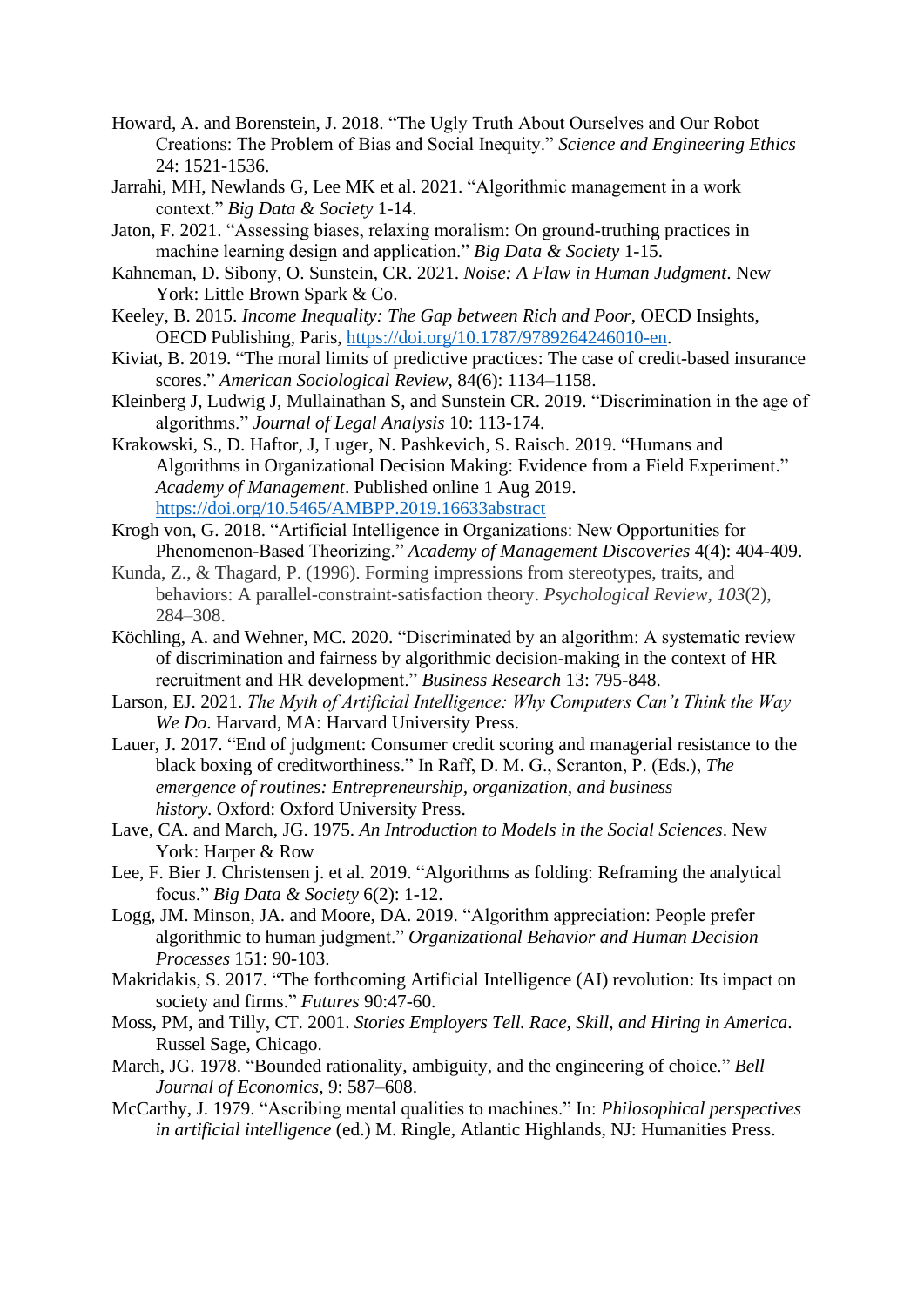- Howard, A. and Borenstein, J. 2018. "The Ugly Truth About Ourselves and Our Robot Creations: The Problem of Bias and Social Inequity." *Science and Engineering Ethics* 24: 1521-1536.
- Jarrahi, MH, Newlands G, Lee MK et al. 2021. "Algorithmic management in a work context." *Big Data & Society* 1-14.
- Jaton, F. 2021. "Assessing biases, relaxing moralism: On ground-truthing practices in machine learning design and application." *Big Data & Society* 1-15.
- Kahneman, D. Sibony, O. Sunstein, CR. 2021. *Noise: A Flaw in Human Judgment*. New York: Little Brown Spark & Co.
- Keeley, B. 2015. *Income Inequality: The Gap between Rich and Poor*, OECD Insights, OECD Publishing, Paris, [https://doi.org/10.1787/9789264246010-en.](https://doi.org/10.1787/9789264246010-en)
- Kiviat, B. 2019. "The moral limits of predictive practices: The case of credit-based insurance scores." *American Sociological Review*, 84(6): 1134–1158.
- Kleinberg J, Ludwig J, Mullainathan S, and Sunstein CR. 2019. "Discrimination in the age of algorithms." *Journal of Legal Analysis* 10: 113-174.
- Krakowski, S., D. Haftor, J, Luger, N. Pashkevich, S. Raisch. 2019. "Humans and Algorithms in Organizational Decision Making: Evidence from a Field Experiment." *Academy of Management*. Published online 1 Aug 2019. <https://doi.org/10.5465/AMBPP.2019.16633abstract>
- Krogh von, G. 2018. "Artificial Intelligence in Organizations: New Opportunities for Phenomenon-Based Theorizing." *Academy of Management Discoveries* 4(4): 404-409.
- Kunda, Z., & Thagard, P. (1996). Forming impressions from stereotypes, traits, and behaviors: A parallel-constraint-satisfaction theory. *Psychological Review, 103*(2), 284–308.
- Köchling, A. and Wehner, MC. 2020. "Discriminated by an algorithm: A systematic review of discrimination and fairness by algorithmic decision-making in the context of HR recruitment and HR development." *Business Research* 13: 795-848.
- Larson, EJ. 2021. *The Myth of Artificial Intelligence: Why Computers Can't Think the Way We Do*. Harvard, MA: Harvard University Press.
- Lauer, J. 2017. "End of judgment: Consumer credit scoring and managerial resistance to the black boxing of creditworthiness." In Raff, D. M. G., Scranton, P. (Eds.), *The emergence of routines: Entrepreneurship, organization, and business history*. Oxford: Oxford University Press.
- Lave, CA. and March, JG. 1975. *An Introduction to Models in the Social Sciences*. New York: Harper & Row
- Lee, F. Bier J. Christensen j. et al. 2019. "Algorithms as folding: Reframing the analytical focus." *Big Data & Society* 6(2): 1-12.
- Logg, JM. Minson, JA. and Moore, DA. 2019. "Algorithm appreciation: People prefer algorithmic to human judgment." *Organizational Behavior and Human Decision Processes* 151: 90-103.
- Makridakis, S. 2017. "The forthcoming Artificial Intelligence (AI) revolution: Its impact on society and firms." *Futures* 90:47-60.
- Moss, PM, and Tilly, CT. 2001. *Stories Employers Tell. Race, Skill, and Hiring in America*. Russel Sage, Chicago.
- March, JG. 1978. "Bounded rationality, ambiguity, and the engineering of choice." *Bell Journal of Economics*, 9: 587–608.
- McCarthy, J. 1979. "Ascribing mental qualities to machines." In: *Philosophical perspectives in artificial intelligence* (ed.) M. Ringle, Atlantic Highlands, NJ: Humanities Press.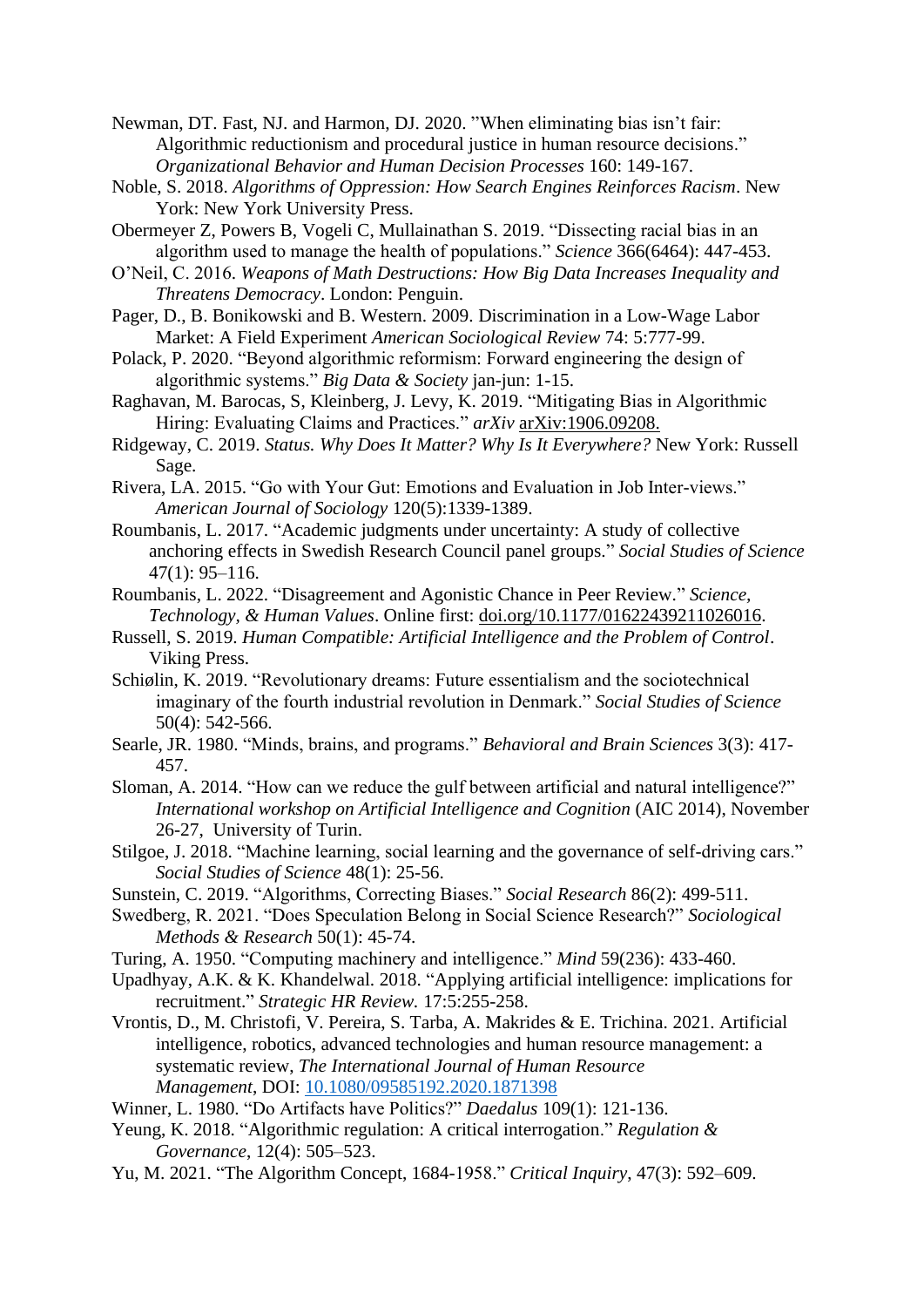Newman, DT. Fast, NJ. and Harmon, DJ. 2020. "When eliminating bias isn't fair: Algorithmic reductionism and procedural justice in human resource decisions." *Organizational Behavior and Human Decision Processes* 160: 149-167.

- Noble, S. 2018. *Algorithms of Oppression: How Search Engines Reinforces Racism*. New York: New York University Press.
- Obermeyer Z, Powers B, Vogeli C, Mullainathan S. 2019. "Dissecting racial bias in an algorithm used to manage the health of populations." *Science* 366(6464): 447-453.
- O'Neil, C. 2016. *Weapons of Math Destructions: How Big Data Increases Inequality and Threatens Democracy*. London: Penguin.
- Pager, D., B. Bonikowski and B. Western. 2009. Discrimination in a Low-Wage Labor Market: A Field Experiment *American Sociological Review* 74: 5:777-99.
- Polack, P. 2020. "Beyond algorithmic reformism: Forward engineering the design of algorithmic systems." *Big Data & Society* jan-jun: 1-15.
- Raghavan, M. Barocas, S, Kleinberg, J. Levy, K. 2019. "Mitigating Bias in Algorithmic Hiring: Evaluating Claims and Practices." *arXiv* arXiv:1906.09208.
- Ridgeway, C. 2019. *Status. Why Does It Matter? Why Is It Everywhere?* New York: Russell Sage.
- Rivera, LA. 2015. "Go with Your Gut: Emotions and Evaluation in Job Inter-views." *American Journal of Sociology* 120(5):1339-1389.
- Roumbanis, L. 2017. "Academic judgments under uncertainty: A study of collective anchoring effects in Swedish Research Council panel groups." *Social Studies of Science* 47(1): 95–116.
- Roumbanis, L. 2022. "Disagreement and Agonistic Chance in Peer Review." *Science, Technology, & Human Values*. Online first: doi.org/10.1177/01622439211026016.
- Russell, S. 2019. *Human Compatible: Artificial Intelligence and the Problem of Control*. Viking Press.
- Schiølin, K. 2019. "Revolutionary dreams: Future essentialism and the sociotechnical imaginary of the fourth industrial revolution in Denmark." *Social Studies of Science* 50(4): 542-566.
- Searle, JR. 1980. "Minds, brains, and programs." *Behavioral and Brain Sciences* 3(3): 417- 457.
- Sloman, A. 2014. "How can we reduce the gulf between artificial and natural intelligence?" *International workshop on Artificial Intelligence and Cognition* (AIC 2014), November 26-27, University of Turin.
- Stilgoe, J. 2018. "Machine learning, social learning and the governance of self-driving cars." *Social Studies of Science* 48(1): 25-56.
- Sunstein, C. 2019. "Algorithms, Correcting Biases." *Social Research* 86(2): 499-511.
- Swedberg, R. 2021. "Does Speculation Belong in Social Science Research?" *Sociological Methods & Research* 50(1): 45-74.
- Turing, A. 1950. "Computing machinery and intelligence." *Mind* 59(236): 433-460.
- Upadhyay, A.K. & K. Khandelwal. 2018. "Applying artificial intelligence: implications for recruitment." *Strategic HR Review.* 17:5:255-258.
- Vrontis, D., M. Christofi, V. Pereira, S. Tarba, A. Makrides & E. Trichina. 2021. Artificial intelligence, robotics, advanced technologies and human resource management: a systematic review, *The International Journal of Human Resource Management*, DOI: [10.1080/09585192.2020.1871398](https://doi.org/10.1080/09585192.2020.1871398)
- Winner, L. 1980. "Do Artifacts have Politics?" *Daedalus* 109(1): 121-136.
- Yeung, K. 2018. "Algorithmic regulation: A critical interrogation." *Regulation & Governance*, 12(4): 505–523.
- Yu, M. 2021. "The Algorithm Concept, 1684-1958." *Critical Inquiry*, 47(3): 592–609.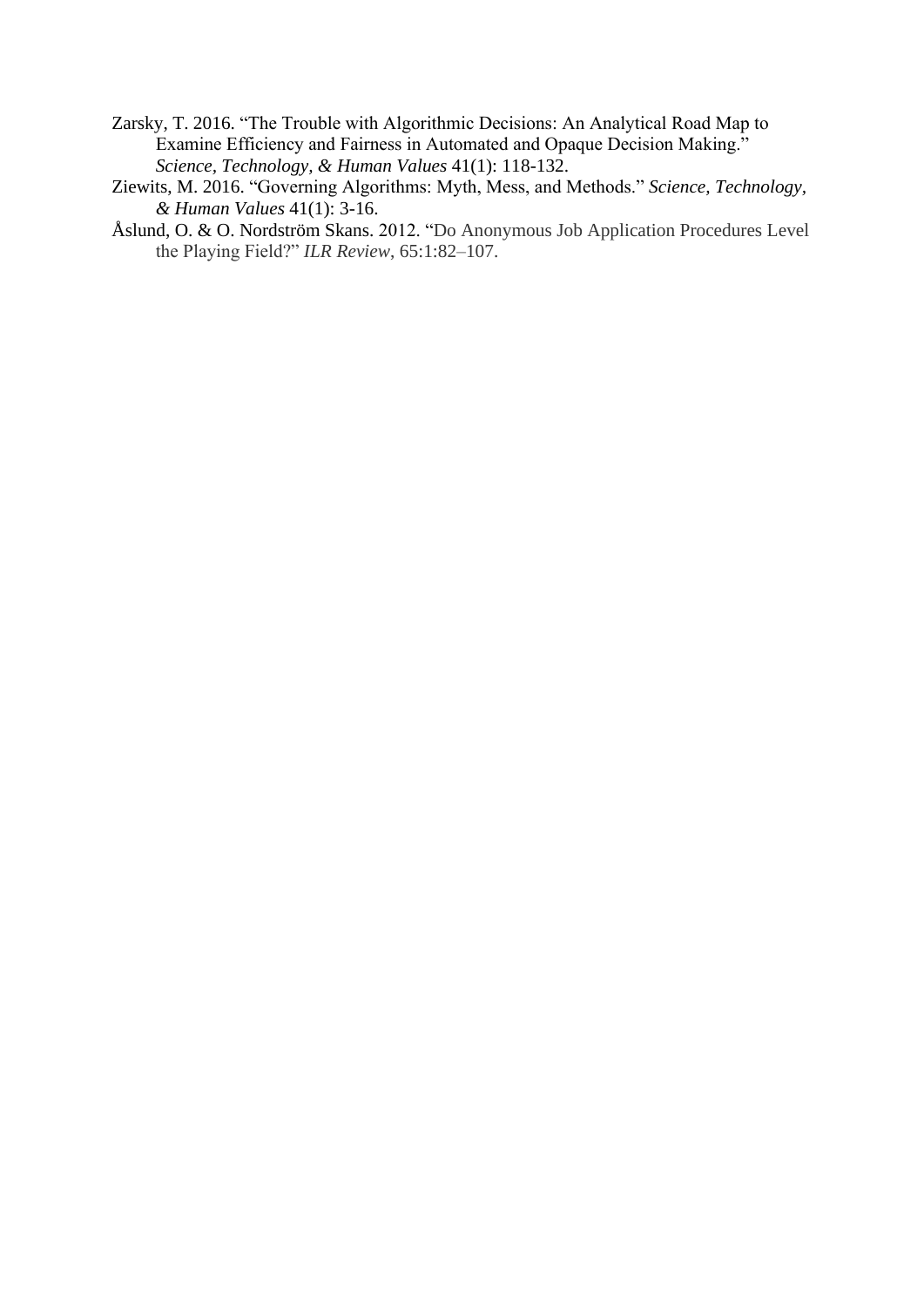- Zarsky, T. 2016. "The Trouble with Algorithmic Decisions: An Analytical Road Map to Examine Efficiency and Fairness in Automated and Opaque Decision Making." *Science, Technology, & Human Values* 41(1): 118-132.
- Ziewits, M. 2016. "Governing Algorithms: Myth, Mess, and Methods." *Science, Technology, & Human Values* 41(1): 3-16.
- Åslund, O. & O. Nordström Skans. 2012. "Do Anonymous Job Application Procedures Level the Playing Field?" *ILR Review*, 65:1:82–107.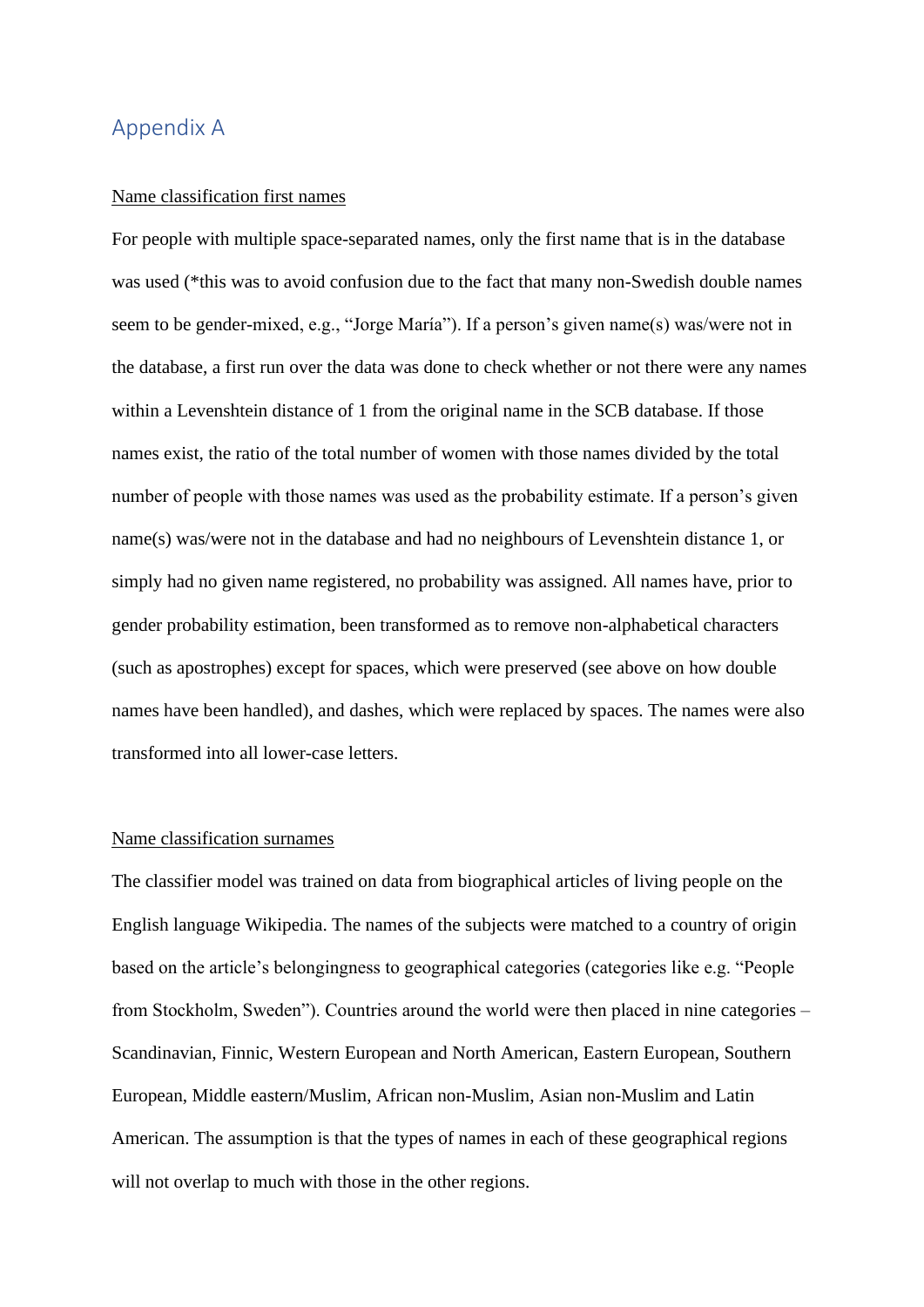### Appendix A

#### Name classification first names

For people with multiple space-separated names, only the first name that is in the database was used (\*this was to avoid confusion due to the fact that many non-Swedish double names seem to be gender-mixed, e.g., "Jorge María"). If a person's given name(s) was/were not in the database, a first run over the data was done to check whether or not there were any names within a Levenshtein distance of 1 from the original name in the SCB database. If those names exist, the ratio of the total number of women with those names divided by the total number of people with those names was used as the probability estimate. If a person's given name(s) was/were not in the database and had no neighbours of Levenshtein distance 1, or simply had no given name registered, no probability was assigned. All names have, prior to gender probability estimation, been transformed as to remove non-alphabetical characters (such as apostrophes) except for spaces, which were preserved (see above on how double names have been handled), and dashes, which were replaced by spaces. The names were also transformed into all lower-case letters.

#### Name classification surnames

The classifier model was trained on data from biographical articles of living people on the English language Wikipedia. The names of the subjects were matched to a country of origin based on the article's belongingness to geographical categories (categories like e.g. "People from Stockholm, Sweden"). Countries around the world were then placed in nine categories – Scandinavian, Finnic, Western European and North American, Eastern European, Southern European, Middle eastern/Muslim, African non-Muslim, Asian non-Muslim and Latin American. The assumption is that the types of names in each of these geographical regions will not overlap to much with those in the other regions.